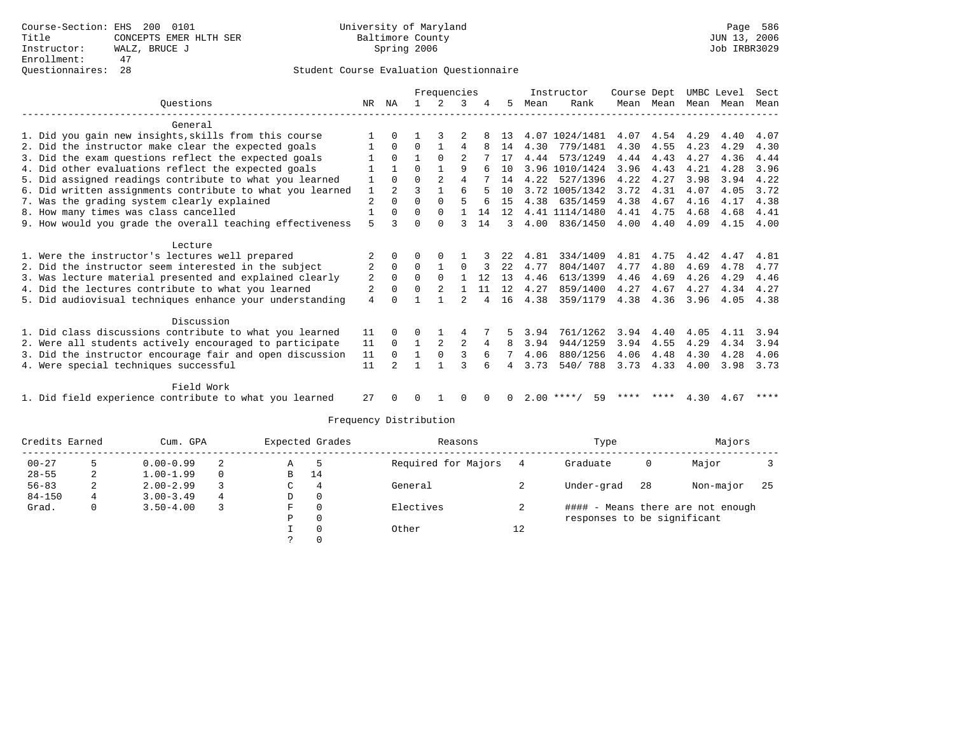|                                                           |    |                |          | Frequencies    |                |          |     |      | Instructor         | Course Dept |           |      | UMBC Level | Sect |
|-----------------------------------------------------------|----|----------------|----------|----------------|----------------|----------|-----|------|--------------------|-------------|-----------|------|------------|------|
| Ouestions                                                 | NR | ΝA             |          |                | 3              |          | 5   | Mean | Rank               |             | Mean Mean | Mean | Mean       | Mean |
| General                                                   |    |                |          |                |                |          |     |      |                    |             |           |      |            |      |
| 1. Did you gain new insights, skills from this course     |    |                |          |                |                |          | 13  |      | 4.07 1024/1481     | 4.07        | 4.54      | 4.29 | 4.40       | 4.07 |
| 2. Did the instructor make clear the expected goals       |    | $\Omega$       | 0        |                | 4              |          | 14  | 4.30 | 779/1481           | 4.30        | 4.55      | 4.23 | 4.29       | 4.30 |
| 3. Did the exam questions reflect the expected goals      |    | $\Omega$       |          | $\Omega$       | 2              |          | 17  | 4.44 | 573/1249           | 4.44        | 4.43      | 4.27 | 4.36       | 4.44 |
| 4. Did other evaluations reflect the expected goals       |    |                | U        |                | 9              | 6        | 10  |      | 3.96 1010/1424     | 3.96        | 4.43      | 4.21 | 4.28       | 3.96 |
| 5. Did assigned readings contribute to what you learned   |    | $\Omega$       | U        | $\overline{2}$ | 4              |          | 14  | 4.22 | 527/1396           | 4.22        | 4.27      | 3.98 | 3.94       | 4.22 |
| 6. Did written assignments contribute to what you learned | 1  | $\overline{a}$ |          |                | 6              |          | 10  |      | 3.72 1005/1342     | 3.72        | 4.31      | 4.07 | 4.05       | 3.72 |
| 7. Was the grading system clearly explained               | 2  | $\Omega$       | 0        | $\Omega$       | 5              |          | 1.5 | 4.38 | 635/1459           | 4.38        | 4.67      | 4.16 | 4.17       | 4.38 |
| 8. How many times was class cancelled                     |    | $\Omega$       | 0        | $\Omega$       |                | 14       | 12  |      | 4.41 1114/1480     | 4.41        | 4.75      | 4.68 | 4.68       | 4.41 |
| 9. How would you grade the overall teaching effectiveness | 5  | ς              | U        | $\Omega$       | ς              | 14       |     | 4.00 | 836/1450           | 4.00        | 4.40      | 4.09 | 4.15       | 4.00 |
| Lecture                                                   |    |                |          |                |                |          |     |      |                    |             |           |      |            |      |
| 1. Were the instructor's lectures well prepared           |    | $\Omega$       | U        | $\Omega$       |                |          | 22  | 4.81 | 334/1409           | 4.81        | 4.75      | 4.42 | 4.47       | 4.81 |
| 2. Did the instructor seem interested in the subject      | 2  | $\Omega$       | $\Omega$ |                | 0              |          | 22  | 4.77 | 804/1407           | 4.77        | 4.80      | 4.69 | 4.78       | 4.77 |
| 3. Was lecture material presented and explained clearly   | 2  | $\Omega$       | $\Omega$ | $\Omega$       |                | 12       | 13  | 4.46 | 613/1399           | 4.46        | 4.69      | 4.26 | 4.29       | 4.46 |
| 4. Did the lectures contribute to what you learned        | 2  | $\Omega$       |          |                |                | 11       | 12  | 4.27 | 859/1400           | 4.27        | 4.67      | 4.27 | 4.34       | 4.27 |
| 5. Did audiovisual techniques enhance your understanding  | 4  |                |          |                | $\mathfrak{D}$ |          | 16  | 4.38 | 359/1179           | 4.38        | 4.36      | 3.96 | 4.05       | 4.38 |
| Discussion                                                |    |                |          |                |                |          |     |      |                    |             |           |      |            |      |
| 1. Did class discussions contribute to what you learned   | 11 | 0              | U        |                | 4              |          |     | 3.94 | 761/1262           | 3.94        | 4.40      | 4.05 | 4.11       | 3.94 |
| 2. Were all students actively encouraged to participate   | 11 | $\Omega$       |          |                | 2              | 4        | 8   | 3.94 | 944/1259           | 3.94        | 4.55      | 4.29 | 4.34       | 3.94 |
| 3. Did the instructor encourage fair and open discussion  | 11 | $\Omega$       |          | $\Omega$       | ς              | 6        |     | 4.06 | 880/1256           | 4.06        | 4.48      | 4.30 | 4.28       | 4.06 |
| 4. Were special techniques successful                     | 11 |                |          |                | ς              | 6        | 4   | 3.73 | 540/788            | 3.73        | 4.33      | 4.00 | 3.98       | 3.73 |
| Field Work                                                |    |                |          |                |                |          |     |      |                    |             |           |      |            |      |
| 1. Did field experience contribute to what you learned    | 27 | $\Omega$       | 0        |                | 0              | $\Omega$ | 0   |      | $2.00$ ****/<br>59 |             |           |      | 4.30 4.67  | **** |

|            | Credits Earned | Cum. GPA      |   |   | Expected Grades |                     | Reasons |                             | Type | Majors                            |     |
|------------|----------------|---------------|---|---|-----------------|---------------------|---------|-----------------------------|------|-----------------------------------|-----|
| $00 - 27$  |                | $0.00 - 0.99$ |   | Α | -5              | Required for Majors |         | Graduate                    | 0    | Major                             |     |
| $28 - 55$  | ∠              | $1.00 - 1.99$ |   | B | 14              |                     |         |                             |      |                                   |     |
| $56 - 83$  | ∠              | $2.00 - 2.99$ |   | C | 4               | General             |         | Under-grad                  | 28   | Non-major                         | -25 |
| $84 - 150$ |                | $3.00 - 3.49$ | 4 | D | 0               |                     |         |                             |      |                                   |     |
| Grad.      |                | $3.50 - 4.00$ |   | F | $\Omega$        | Electives           |         |                             |      | #### - Means there are not enough |     |
|            |                |               |   | Р | 0               |                     |         | responses to be significant |      |                                   |     |
|            |                |               |   |   | 0               | Other               | 12      |                             |      |                                   |     |
|            |                |               |   |   |                 |                     |         |                             |      |                                   |     |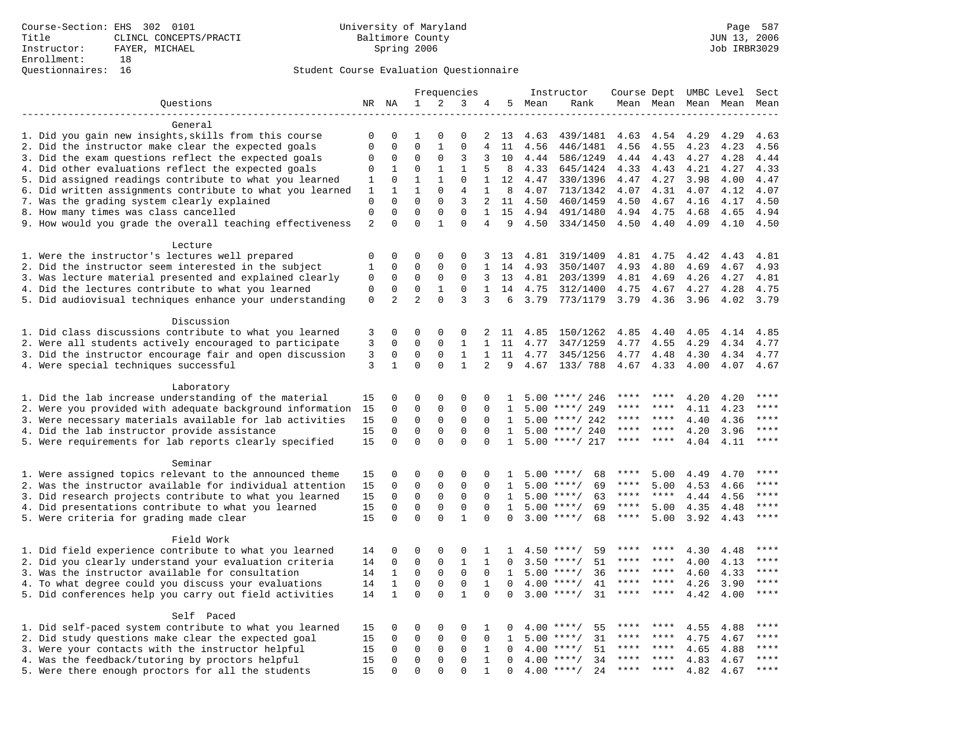|                                                           |                             |                         |                         |                            | Frequencies                |                                |                      |              | Instructor                         | Course Dept UMBC Level |                      |                     |              | Sect         |
|-----------------------------------------------------------|-----------------------------|-------------------------|-------------------------|----------------------------|----------------------------|--------------------------------|----------------------|--------------|------------------------------------|------------------------|----------------------|---------------------|--------------|--------------|
| Questions                                                 |                             | NR NA                   | 1                       | 2                          | 3                          | 4                              |                      | 5 Mean       | Rank                               |                        |                      | Mean Mean Mean Mean |              | Mean         |
|                                                           |                             |                         |                         |                            |                            |                                |                      |              |                                    |                        |                      |                     |              |              |
| General                                                   |                             |                         |                         |                            |                            |                                |                      |              |                                    |                        |                      |                     |              |              |
| 1. Did you gain new insights, skills from this course     | $\mathbf 0$                 | $\Omega$                | 1                       | $\Omega$                   | $\Omega$                   | 2                              | 13                   | 4.63         | 439/1481                           | 4.63                   | 4.54                 | 4.29                | 4.29         | 4.63         |
| 2. Did the instructor make clear the expected goals       | $\mathbf{0}$                | $\Omega$                | $\Omega$                | $\mathbf{1}$               | $\mathbf 0$                | 4                              | 11                   | 4.56         | 446/1481                           | 4.56                   | 4.55                 | 4.23                | 4.23         | 4.56         |
| 3. Did the exam questions reflect the expected goals      | 0                           | $\Omega$                | $\Omega$                | $\Omega$                   | 3                          | 3                              | 10                   | 4.44         | 586/1249                           | 4.44                   | 4.43                 | 4.27                | 4.28         | 4.44         |
| 4. Did other evaluations reflect the expected goals       | 0                           | $\mathbf 1$             | $\mathbf 0$             | $\mathbf{1}$               | $\mathbf{1}$               | 5                              | 8                    | 4.33         | 645/1424                           | 4.33                   | 4.43                 | 4.21                | 4.27         | 4.33         |
| 5. Did assigned readings contribute to what you learned   | 1                           | $\mathbf 0$             | $\mathbf{1}$            | $\mathbf{1}$               | $\mathbf{0}$               | $\mathbf{1}$                   | 12                   | 4.47         | 330/1396                           | 4.47                   | 4.27                 | 3.98                | 4.00         | 4.47         |
| 6. Did written assignments contribute to what you learned | 1                           | 1                       | $\mathbf 1$             | $\mathbf 0$                | 4                          | $\mathbf{1}$                   | 8                    | 4.07         | 713/1342                           | 4.07                   | 4.31                 | 4.07                | 4.12         | 4.07         |
| 7. Was the grading system clearly explained               | $\mathbf 0$<br>$\mathbf{0}$ | $\Omega$<br>$\Omega$    | $\Omega$<br>$\Omega$    | $\Omega$<br>$\Omega$       | 3<br>$\Omega$              | $\overline{2}$<br>$\mathbf{1}$ | 11                   | 4.50         | 460/1459                           | 4.50                   | 4.67                 | 4.16                | 4.17         | 4.50         |
| 8. How many times was class cancelled                     | $\overline{2}$              | $\Omega$                | $\Omega$                | $\mathbf{1}$               | $\Omega$                   | 4                              | 15<br>9              | 4.94<br>4.50 | 491/1480<br>334/1450               | 4.94<br>4.50           | 4.75                 | 4.68<br>4.09        | 4.65<br>4.10 | 4.94<br>4.50 |
| 9. How would you grade the overall teaching effectiveness |                             |                         |                         |                            |                            |                                |                      |              |                                    |                        | 4.40                 |                     |              |              |
| Lecture                                                   |                             |                         |                         |                            |                            |                                |                      |              |                                    |                        |                      |                     |              |              |
| 1. Were the instructor's lectures well prepared           | $\mathbf 0$                 | $\mathbf 0$             | $\mathbf 0$             | $\mathbf{0}$               | $\Omega$                   | 3                              | 13                   | 4.81         | 319/1409                           | 4.81                   | 4.75                 | 4.42                | 4.43         | 4.81         |
| 2. Did the instructor seem interested in the subject      | 1                           | $\mathbf 0$             | $\mathbf 0$             | $\mathbf{0}$               | $\mathbf 0$                | $\mathbf{1}$                   | 14                   | 4.93         | 350/1407                           | 4.93                   | 4.80                 | 4.69                | 4.67         | 4.93         |
| 3. Was lecture material presented and explained clearly   | 0                           | $\mathbf 0$             | 0                       | $\mathsf 0$                | $\mathbf 0$                | 3                              | 13                   | 4.81         | 203/1399                           | 4.81                   | 4.69                 | 4.26                | 4.27         | 4.81         |
| 4. Did the lectures contribute to what you learned        | $\mathbf{0}$                | $\mathbf 0$             | $\mathbf 0$             | $\mathbf{1}$               | $\mathbf 0$                | $\mathbf{1}$                   | 14                   | 4.75         | 312/1400                           | 4.75                   | 4.67                 | 4.27                | 4.28         | 4.75         |
| 5. Did audiovisual techniques enhance your understanding  | $\mathbf 0$                 | 2                       | $\overline{a}$          | $\Omega$                   | 3                          | 3                              | 6                    | 3.79         | 773/1179                           | 3.79                   | 4.36                 | 3.96                | 4.02         | 3.79         |
|                                                           |                             |                         |                         |                            |                            |                                |                      |              |                                    |                        |                      |                     |              |              |
| Discussion                                                |                             |                         |                         |                            |                            |                                |                      |              |                                    |                        |                      |                     |              |              |
| 1. Did class discussions contribute to what you learned   | 3                           | $\Omega$                | $\Omega$                | $\Omega$                   | $\mathbf 0$                | 2                              | 11                   | 4.85         | 150/1262                           | 4.85                   | 4.40                 | 4.05                | 4.14         | 4.85         |
| 2. Were all students actively encouraged to participate   | 3                           | $\mathbf 0$             | $\mathbf 0$             | $\mathbf 0$                | $\mathbf{1}$               | $\mathbf{1}$                   | 11                   | 4.77         | 347/1259                           | 4.77                   | 4.55                 | 4.29                | 4.34         | 4.77         |
| 3. Did the instructor encourage fair and open discussion  | $\mathbf{3}$                | $\mathbf 0$             | $\mathbf 0$             | $\mathbf{0}$               | $\mathbf{1}$               | $\mathbf{1}$                   | 11                   | 4.77         | 345/1256                           | 4.77                   | 4.48                 | 4.30                | 4.34         | 4.77         |
| 4. Were special techniques successful                     | 3                           | $\mathbf{1}$            | $\Omega$                | $\Omega$                   | $\mathbf{1}$               | $\overline{2}$                 | 9                    | 4.67         | 133/788                            | 4.67                   | 4.33                 | 4.00                | 4.07         | 4.67         |
|                                                           |                             |                         |                         |                            |                            |                                |                      |              |                                    |                        |                      |                     |              |              |
| Laboratory                                                |                             |                         |                         |                            |                            |                                |                      |              |                                    |                        |                      |                     |              |              |
| 1. Did the lab increase understanding of the material     | 15                          | $\Omega$                | $\Omega$                | $\Omega$                   | $\Omega$                   | $\Omega$                       | 1                    |              | $5.00$ ****/ 246                   |                        |                      | 4.20                | 4.20         | ****         |
| 2. Were you provided with adequate background information | 15                          | 0                       | $\mathbf 0$             | $\mathbf{0}$               | $\mathbf 0$                | $\mathbf 0$                    | 1                    | 5.00         | ****/ 249                          |                        | ****                 | 4.11                | 4.23         | $***$        |
| 3. Were necessary materials available for lab activities  | 15                          | $\mathbf 0$             | $\mathbf 0$             | 0                          | $\mathbf 0$                | $\Omega$                       | 1                    | 5.00         | ****/ 242                          | ****                   | ****                 | 4.40                | 4.36         | $***$        |
| 4. Did the lab instructor provide assistance              | 15                          | $\mathbf 0$             | $\mathbf 0$             | $\mathbf{0}$               | $\mathbf{0}$               | $\Omega$                       | $\mathbf{1}$         |              | $5.00$ ****/ 240                   | ****<br>****           | ****<br>$***$ * * *  | 4.20                | 3.96         | ****<br>**** |
| 5. Were requirements for lab reports clearly specified    | 15                          | $\Omega$                | $\Omega$                | $\Omega$                   | $\Omega$                   | $\Omega$                       | $\mathbf{1}$         |              | $5.00$ ****/ 217                   |                        |                      | 4.04                | 4.11         |              |
| Seminar                                                   |                             |                         |                         |                            |                            |                                |                      |              |                                    |                        |                      |                     |              |              |
| 1. Were assigned topics relevant to the announced theme   | 15                          | $\mathbf 0$             | 0                       | $\mathbf{0}$               | $\Omega$                   | 0                              | 1                    |              | 68<br>$5.00$ ****/                 | ****                   | 5.00                 | 4.49                | 4.70         | $***$        |
| 2. Was the instructor available for individual attention  | 15                          | $\mathbf 0$             | 0                       | $\mathbf 0$                | $\mathsf 0$                | 0                              | 1                    |              | $5.00$ ****/<br>69                 | ****                   | 5.00                 | 4.53                | 4.66         | * * * *      |
| 3. Did research projects contribute to what you learned   | 15                          | $\mathbf 0$             | $\mathbf 0$             | $\mathbf{0}$               | $\mathbf 0$                | $\Omega$                       | $\mathbf{1}$         |              | $5.00$ ****/<br>63                 | $***$ * * *            | $***$ *              | 4.44                | 4.56         | $***$        |
| 4. Did presentations contribute to what you learned       | 15                          | $\Omega$                | $\Omega$                | $\Omega$                   | $\mathbf 0$                | $\Omega$                       | 1                    | 5.00         | $***/$<br>69                       | $***$ * *              | 5.00                 | 4.35                | 4.48         | $***$        |
| 5. Were criteria for grading made clear                   | 15                          | $\Omega$                | $\Omega$                | $\Omega$                   | $\mathbf{1}$               | $\Omega$                       | $\Omega$             |              | $3.00$ ****/<br>68                 | ****                   | 5.00                 | 3.92                | 4.43         | ****         |
|                                                           |                             |                         |                         |                            |                            |                                |                      |              |                                    |                        |                      |                     |              |              |
| Field Work                                                |                             |                         |                         |                            |                            |                                |                      |              |                                    |                        |                      |                     |              |              |
| 1. Did field experience contribute to what you learned    | 14                          | 0                       | 0                       | $\mathbf 0$                | 0                          | 1                              | $\mathbf{1}$         |              | 59<br>$4.50$ ****/                 |                        |                      | 4.30                | 4.48         | * * * *      |
| 2. Did you clearly understand your evaluation criteria    | 14                          | $\mathbf 0$             | $\mathbf 0$             | $\mathbf 0$                | $\mathbf{1}$               | $\mathbf{1}$                   | $\Omega$             |              | 51<br>$3.50$ ****/                 | ****                   | ****                 | 4.00                | 4.13         | ****         |
| 3. Was the instructor available for consultation          | 14                          | $\mathbf{1}$            | $\mathbf 0$             | $\mathbf 0$                | $\mathbf 0$                | $\mathbf{0}$                   | $\mathbf{1}$         | 5.00         | $***/$<br>36                       | ****                   | ****                 | 4.60                | 4.33         | ****         |
| 4. To what degree could you discuss your evaluations      | 14                          | $\mathbf{1}$            | $\mathbf 0$             | $\mathbf 0$                | $\mathbf 0$                | $\mathbf{1}$                   | $\mathbf 0$          |              | $4.00$ ****/<br>41                 | $***$ * * *            | $***$ *              | 4.26                | 3.90         | $***$        |
| 5. Did conferences help you carry out field activities    | 14                          | $\mathbf{1}$            | $\mathbf 0$             | $\Omega$                   | $\mathbf{1}$               | $\Omega$                       | $\Omega$             | 3.00         | $***/$<br>31                       | $***$ * * *            | $***$ *              | 4.42                | 4.00         | $***$        |
|                                                           |                             |                         |                         |                            |                            |                                |                      |              |                                    |                        |                      |                     |              |              |
| Self Paced                                                |                             |                         |                         |                            |                            |                                |                      |              |                                    |                        |                      |                     |              |              |
| 1. Did self-paced system contribute to what you learned   | 15                          | $\mathbf 0$             | 0                       | $\mathbf 0$                | $\mathbf 0$                | 1                              | $\Omega$             | 4.00         | $***$ /<br>55                      |                        |                      | 4.55                | 4.88         | ****         |
| 2. Did study questions make clear the expected goal       | 15                          | $\Omega$                | 0                       | $\mathsf 0$                | $\Omega$                   | $\Omega$                       | $\mathbf{1}$         | 5.00         | $***$ /<br>31                      | ****<br>****           | $***$ *<br>$* * * *$ | 4.75                | 4.67         | ****<br>**** |
| 3. Were your contacts with the instructor helpful         | 15                          | $\mathsf 0$             | $\mathbf 0$             | $\mathsf 0$<br>$\mathbf 0$ | $\mathbf 0$<br>$\mathbf 0$ | $\mathbf{1}$                   | $\mathbf 0$          | 4.00         | 51<br>$***/$                       | $***$                  | ****                 | 4.65                | 4.88         | ****         |
| 4. Was the feedback/tutoring by proctors helpful          | 15<br>15                    | $\mathbf 0$<br>$\Omega$ | $\mathbf 0$<br>$\Omega$ | $\Omega$                   | $\Omega$                   | $\mathbf{1}$<br>$\mathbf{1}$   | $\Omega$<br>$\Omega$ | 4.00         | $***/$<br>34<br>$4.00$ ****/<br>24 | $***$ * *              | ****                 | 4.83                | 4.67         | ****         |
| 5. Were there enough proctors for all the students        |                             |                         |                         |                            |                            |                                |                      |              |                                    |                        |                      | 4.82                | 4.67         |              |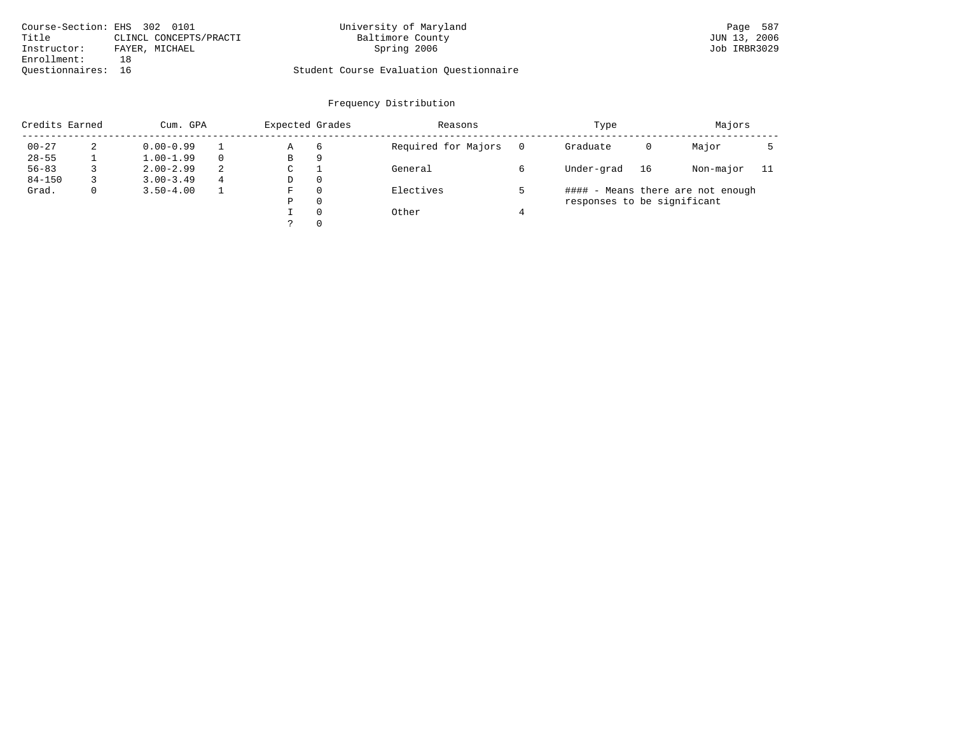| Course-Section: EHS 302 0101 |                        | University of Maryland                  | Page 587     |
|------------------------------|------------------------|-----------------------------------------|--------------|
| Title                        | CLINCL CONCEPTS/PRACTI | Baltimore County                        | JUN 13, 2006 |
| Instructor:                  | FAYER, MICHAEL         | Spring 2006                             | Job IRBR3029 |
| Enrollment:                  |                        |                                         |              |
| Ouestionnaires: 16           |                        | Student Course Evaluation Ouestionnaire |              |

| Credits Earned |   | Cum. GPA      |   | Expected Grades |          | Reasons             |          | Type                        |    | Majors                            |     |  |
|----------------|---|---------------|---|-----------------|----------|---------------------|----------|-----------------------------|----|-----------------------------------|-----|--|
| $00 - 27$      | 2 | $0.00 - 0.99$ |   | Α               | 6        | Required for Majors | $\Omega$ | Graduate                    | 0  | Major                             |     |  |
| $28 - 55$      |   | $1.00 - 1.99$ |   | В               | 9        |                     |          |                             |    |                                   |     |  |
| $56 - 83$      |   | $2.00 - 2.99$ | 2 | $\sim$<br>◡     |          | General             |          | Under-grad                  | 16 | Non-major                         | -11 |  |
| $84 - 150$     |   | $3.00 - 3.49$ | 4 | D               | 0        |                     |          |                             |    |                                   |     |  |
| Grad.          | 0 | $3.50 - 4.00$ |   | F               | 0        | Electives           |          |                             |    | #### - Means there are not enough |     |  |
|                |   |               |   | Ρ               | 0        |                     |          | responses to be significant |    |                                   |     |  |
|                |   |               |   |                 | $\Omega$ | Other               |          |                             |    |                                   |     |  |
|                |   |               |   |                 | 0        |                     |          |                             |    |                                   |     |  |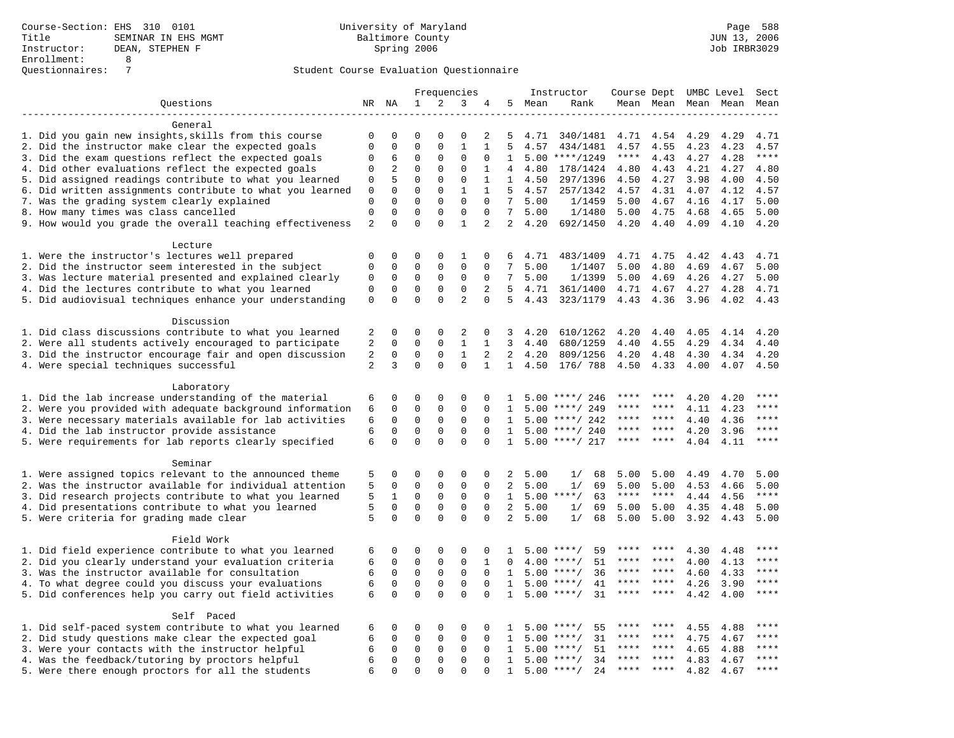|                                                           |                             |                      |                      |                      | Frequencies          |                      |                     |              | Instructor         | Course Dept UMBC Level |              |                     |              | Sect         |
|-----------------------------------------------------------|-----------------------------|----------------------|----------------------|----------------------|----------------------|----------------------|---------------------|--------------|--------------------|------------------------|--------------|---------------------|--------------|--------------|
| Questions                                                 |                             | NR NA                | $\mathbf{1}$         | 2                    | 3                    | 4                    |                     | 5 Mean       | Rank               |                        |              | Mean Mean Mean Mean |              | Mean         |
|                                                           |                             |                      |                      |                      |                      |                      |                     |              |                    |                        |              |                     |              |              |
| General                                                   |                             |                      |                      |                      |                      |                      |                     |              |                    |                        |              |                     |              |              |
| 1. Did you gain new insights, skills from this course     | $\mathbf 0$                 | $\mathbf 0$          | $\Omega$             | $\Omega$             | $\Omega$             | 2                    | 5                   | 4.71         | 340/1481           | 4.71                   | 4.54         | 4.29                | 4.29         | 4.71         |
| 2. Did the instructor make clear the expected goals       | $\mathbf{0}$                | $\Omega$             | $\mathbf 0$          | $\Omega$             | $\mathbf{1}$         | $\mathbf{1}$         | 5                   | 4.57         | 434/1481           | 4.57                   | 4.55         | 4.23                | 4.23         | 4.57         |
| 3. Did the exam questions reflect the expected goals      | $\Omega$                    | 6                    | $\Omega$             | $\Omega$             | $\Omega$             | $\Omega$             | $\mathbf{1}$        |              | $5.00$ ****/1249   | $***$ * * *            | 4.43         | 4.27                | 4.28         | $***$        |
| 4. Did other evaluations reflect the expected goals       | $\mathbf{0}$                | 2                    | $\mathbf 0$          | $\mathbf 0$          | $\mathbf 0$          | $\mathbf{1}$         | $\overline{4}$      | 4.80         | 178/1424           | 4.80                   | 4.43         | 4.21                | 4.27         | 4.80         |
| 5. Did assigned readings contribute to what you learned   | 0                           | 5                    | $\mathbf 0$          | $\mathbf{0}$         | $\mathbf 0$          | 1                    | $\mathbf{1}$        | 4.50         | 297/1396           | 4.50                   | 4.27         | 3.98                | 4.00         | 4.50         |
| 6. Did written assignments contribute to what you learned | $\mathbf 0$                 | $\mathbf 0$          | $\mathbf 0$          | $\mathbf 0$          | $\mathbf{1}$         | 1                    | 5<br>7 <sup>7</sup> | 4.57         | 257/1342           | 4.57                   | 4.31         | 4.07                | 4.12         | 4.57         |
| 7. Was the grading system clearly explained               | $\mathbf 0$<br>$\mathbf{0}$ | $\Omega$<br>$\Omega$ | $\Omega$<br>$\Omega$ | $\Omega$<br>$\Omega$ | $\Omega$<br>$\Omega$ | $\Omega$<br>$\Omega$ | $7^{\circ}$         | 5.00<br>5.00 | 1/1459<br>1/1480   | 5.00                   | 4.67<br>4.75 | 4.16                | 4.17         | 5.00<br>5.00 |
| 8. How many times was class cancelled                     | $\overline{2}$              | $\Omega$             | $\Omega$             | $\Omega$             | $\mathbf{1}$         | 2                    |                     | 2, 4.20      | 692/1450           | 5.00<br>4.20           | 4.40         | 4.68<br>4.09        | 4.65<br>4.10 | 4.20         |
| 9. How would you grade the overall teaching effectiveness |                             |                      |                      |                      |                      |                      |                     |              |                    |                        |              |                     |              |              |
| Lecture                                                   |                             |                      |                      |                      |                      |                      |                     |              |                    |                        |              |                     |              |              |
| 1. Were the instructor's lectures well prepared           | $\mathbf 0$                 | $\mathbf 0$          | $\mathbf 0$          | $\mathbf{0}$         | 1                    | 0                    | 6                   | 4.71         | 483/1409           | 4.71                   | 4.75         | 4.42                | 4.43         | 4.71         |
| 2. Did the instructor seem interested in the subject      | $\mathbf{0}$                | $\mathbf 0$          | $\mathbf 0$          | $\mathbf{0}$         | $\mathbf{0}$         | $\Omega$             | 7                   | 5.00         | 1/1407             | 5.00                   | 4.80         | 4.69                | 4.67         | 5.00         |
| 3. Was lecture material presented and explained clearly   | 0                           | $\mathbf 0$          | $\mathsf 0$          | $\mathsf 0$          | $\mathbf 0$          | $\Omega$             | 7                   | 5.00         | 1/1399             | 5.00                   | 4.69         | 4.26                | 4.27         | 5.00         |
| 4. Did the lectures contribute to what you learned        | $\mathbf{0}$                | $\mathbf 0$          | $\mathbf 0$          | $\mathbf{0}$         | $\mathbf 0$          | 2                    | 5                   | 4.71         | 361/1400           | 4.71                   | 4.67         | 4.27                | 4.28         | 4.71         |
| 5. Did audiovisual techniques enhance your understanding  | $\mathbf 0$                 | $\mathbf 0$          | $\mathbf{0}$         | $\Omega$             | $\overline{2}$       | $\Omega$             | 5                   | 4.43         | 323/1179           | 4.43                   | 4.36         | 3.96                | 4.02         | 4.43         |
|                                                           |                             |                      |                      |                      |                      |                      |                     |              |                    |                        |              |                     |              |              |
| Discussion                                                |                             |                      |                      |                      |                      |                      |                     |              |                    |                        |              |                     |              |              |
| 1. Did class discussions contribute to what you learned   | 2                           | $\Omega$             | $\Omega$             | $\Omega$             | 2                    | 0                    | 3                   | 4.20         | 610/1262           | 4.20                   | 4.40         | 4.05                | 4.14         | 4.20         |
| 2. Were all students actively encouraged to participate   | $\overline{2}$              | $\mathbf 0$          | $\mathbf 0$          | $\mathbf 0$          | $\mathbf{1}$         | $\mathbf{1}$         | $\overline{3}$      | 4.40         | 680/1259           | 4.40                   | 4.55         | 4.29                | 4.34         | 4.40         |
| 3. Did the instructor encourage fair and open discussion  | $\overline{c}$              | $\mathbf{0}$         | $\mathbf 0$          | $\mathbf{0}$         | $\mathbf{1}$         | 2                    | 2                   | 4.20         | 809/1256           | 4.20                   | 4.48         | 4.30                | 4.34         | 4.20         |
| 4. Were special techniques successful                     | 2                           | 3                    | $\Omega$             | $\Omega$             | $\Omega$             | $\mathbf{1}$         | $\mathbf{1}$        | 4.50         | 176/ 788           | 4.50                   | 4.33         | 4.00                | 4.07         | 4.50         |
|                                                           |                             |                      |                      |                      |                      |                      |                     |              |                    |                        |              |                     |              |              |
| Laboratory                                                |                             |                      |                      |                      |                      |                      |                     |              |                    |                        |              |                     |              |              |
| 1. Did the lab increase understanding of the material     | 6                           | 0                    | 0                    | $\Omega$             | 0                    | $\Omega$             | 1                   |              | $5.00$ ****/ 246   |                        |              | 4.20                | 4.20         | ****         |
| 2. Were you provided with adequate background information | 6                           | $\mathbf 0$          | $\mathbf 0$          | $\mathbf 0$          | $\mathbf 0$          | $\mathbf 0$          | 1                   | 5.00         | ****/ 249          | ****                   | ****         | 4.11                | 4.23         | $***$        |
| 3. Were necessary materials available for lab activities  | 6                           | $\mathbf 0$          | 0                    | $\mathbf 0$          | 0                    | $\Omega$             | 1                   | 5.00         | ****/ 242          | ****                   | ****         | 4.40                | 4.36         | $***$        |
| 4. Did the lab instructor provide assistance              | 6                           | $\mathbf 0$          | $\mathbf 0$          | $\mathbf{0}$         | $\mathbf{0}$         | $\Omega$             | $\mathbf{1}$        |              | $5.00$ ****/ 240   | ****                   | ****         | 4.20                | 3.96         | ****         |
| 5. Were requirements for lab reports clearly specified    | 6                           | $\Omega$             | $\Omega$             | $\Omega$             | $\Omega$             | $\Omega$             | $\mathbf{1}$        | 5.00         | ****/ 217          | ****                   | ****         | 4.04                | 4.11         | ****         |
| Seminar                                                   |                             |                      |                      |                      |                      |                      |                     |              |                    |                        |              |                     |              |              |
| 1. Were assigned topics relevant to the announced theme   | 5                           | $\mathbf 0$          | 0                    | $\mathsf 0$          | $\mathbf{0}$         | 0                    | 2                   | 5.00         | 1/<br>68           | 5.00                   | 5.00         | 4.49                | 4.70         | 5.00         |
| 2. Was the instructor available for individual attention  | 5                           | $\mathbf 0$          | 0                    | 0                    | $\mathbf 0$          | 0                    | 2                   | 5.00         | 1/<br>69           | 5.00                   | 5.00         | 4.53                | 4.66         | 5.00         |
| 3. Did research projects contribute to what you learned   | 5                           | 1                    | $\mathbf 0$          | $\mathbf{0}$         | $\mathbf 0$          | $\Omega$             | $\mathbf{1}$        |              | $5.00$ ****/<br>63 | $***$ * * *            | $***$ *      | 4.44                | 4.56         | $***$        |
| 4. Did presentations contribute to what you learned       | 5                           | $\Omega$             | $\Omega$             | $\Omega$             | $\mathbf 0$          | $\Omega$             | 2                   | 5.00         | 69<br>1/           | 5.00                   | 5.00         | 4.35                | 4.48         | 5.00         |
| 5. Were criteria for grading made clear                   | 5                           | $\Omega$             | $\Omega$             | $\Omega$             | $\Omega$             | $\Omega$             | $\overline{2}$      | 5.00         | 1/<br>68           | 5.00                   | 5.00         | 3.92                | 4.43         | 5.00         |
|                                                           |                             |                      |                      |                      |                      |                      |                     |              |                    |                        |              |                     |              |              |
| Field Work                                                |                             |                      |                      |                      |                      |                      |                     |              |                    |                        |              |                     |              |              |
| 1. Did field experience contribute to what you learned    | 6                           | $\mathbf 0$          | 0                    | 0                    | $\Omega$             | 0                    | $\mathbf{1}$        | 5.00         | $***/$<br>59       | ****                   |              | 4.30                | 4.48         | * * * *      |
| 2. Did you clearly understand your evaluation criteria    | 6                           | $\mathbf 0$          | $\mathbf 0$          | $\mathbf 0$          | $\mathbf 0$          | $\mathbf{1}$         | $\Omega$            | 4.00         | 51<br>$***/$       | ****                   | ****         | 4.00                | 4.13         | ****         |
| 3. Was the instructor available for consultation          | 6                           | $\mathbf 0$          | $\mathbf 0$          | $\mathbf 0$          | $\mathbf 0$          | $\Omega$             | $\mathbf{1}$        | 5.00         | $***/$<br>36       | ****                   | ****         | 4.60                | 4.33         | ****         |
| 4. To what degree could you discuss your evaluations      | 6                           | $\mathbf 0$          | $\mathbf 0$          | $\mathbf 0$          | $\mathbf 0$          | $\mathbf{0}$         | $\mathbf{1}$        |              | $5.00$ ****/<br>41 | $***$ * * *            | $***$ *      | 4.26                | 3.90         | $***$        |
| 5. Did conferences help you carry out field activities    | 6                           | $\mathbf 0$          | $\Omega$             | $\Omega$             | $\Omega$             | $\Omega$             | 1                   | 5.00         | $***/$<br>31       | $***$ * * *            | $***$ *      | 4.42                | 4.00         | $***$        |
|                                                           |                             |                      |                      |                      |                      |                      |                     |              |                    |                        |              |                     |              |              |
| Self Paced                                                |                             |                      |                      |                      |                      |                      |                     |              |                    |                        |              |                     |              |              |
| 1. Did self-paced system contribute to what you learned   | 6                           | $\mathbf 0$          | 0                    | 0                    | 0                    | 0                    | -1.                 | 5.00         | $***$ /<br>55      | ****                   |              | 4.55                | 4.88         | ****         |
| 2. Did study questions make clear the expected goal       | 6                           | $\Omega$             | $\mathbf 0$          | $\mathsf 0$          | $\mathbf 0$          | $\Omega$             | $\mathbf{1}$        | 5.00         | $***$ /<br>31      | ****                   | $***$ *      | 4.75                | 4.67         | ****         |
| 3. Were your contacts with the instructor helpful         | 6                           | $\mathsf{O}\xspace$  | $\mathbf 0$          | $\mathsf 0$          | $\mathbf 0$          | $\mathbf 0$          | 1                   | 5.00         | 51<br>$***/$       | ****                   | $* * * *$    | 4.65                | 4.88         | ****         |
| 4. Was the feedback/tutoring by proctors helpful          | 6                           | $\mathbf 0$          | $\mathbf 0$          | $\mathbf 0$          | $\mathbf 0$          | $\Omega$             | $\mathbf{1}$        | 5.00         | $***/$<br>34       | $***$                  | ****         | 4.83                | 4.67         | ****         |
| 5. Were there enough proctors for all the students        | 6                           | $\Omega$             | $\Omega$             | $\Omega$             | $\Omega$             | $\Omega$             | $\mathbf{1}$        |              | $5.00$ ****/<br>24 | $***$ * *              | ****         | 4.82                | 4.67         | ****         |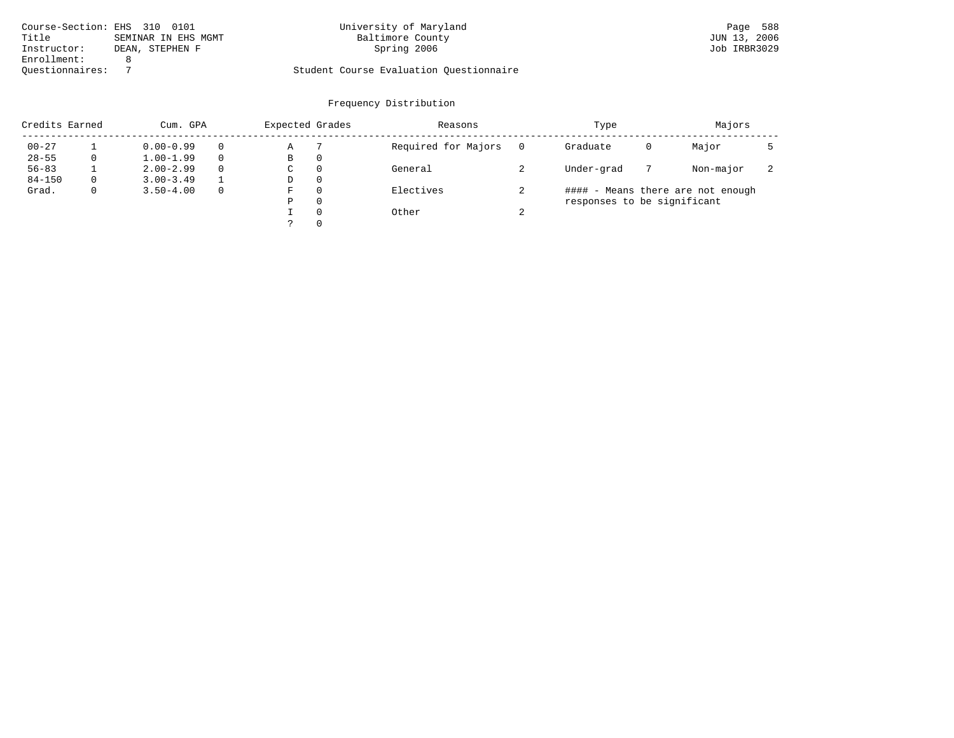| Course-Section: EHS 310 0101   | University of Maryland                  | Page 588     |
|--------------------------------|-----------------------------------------|--------------|
| Title<br>SEMINAR IN EHS MGMT   | Baltimore County                        | JUN 13, 2006 |
| Instructor:<br>DEAN, STEPHEN F | Spring 2006                             | Job IRBR3029 |
| Enrollment:                    |                                         |              |
| Ouestionnaires:                | Student Course Evaluation Ouestionnaire |              |

| Credits Earned |   | Cum. GPA      |   | Expected Grades |          | Reasons             | Type   |                             |   | Majors                            |    |  |
|----------------|---|---------------|---|-----------------|----------|---------------------|--------|-----------------------------|---|-----------------------------------|----|--|
| $00 - 27$      |   | $0.00 - 0.99$ |   | Α               |          | Required for Majors | 0      | Graduate                    | 0 | Major                             |    |  |
| $28 - 55$      | 0 | $1.00 - 1.99$ |   | В               | 0        |                     |        |                             |   |                                   |    |  |
| $56 - 83$      |   | $2.00 - 2.99$ | 0 | $\sim$<br>◡     | 0        | General             |        | Under-grad                  |   | Non-major                         | z. |  |
| $84 - 150$     | 0 | $3.00 - 3.49$ |   | D               | 0        |                     |        |                             |   |                                   |    |  |
| Grad.          | 0 | $3.50 - 4.00$ |   | F               | 0        | Electives           |        |                             |   | #### - Means there are not enough |    |  |
|                |   |               |   | Ρ               | 0        |                     |        | responses to be significant |   |                                   |    |  |
|                |   |               |   |                 | $\Omega$ | Other               | $\sim$ |                             |   |                                   |    |  |
|                |   |               |   | っ               |          |                     |        |                             |   |                                   |    |  |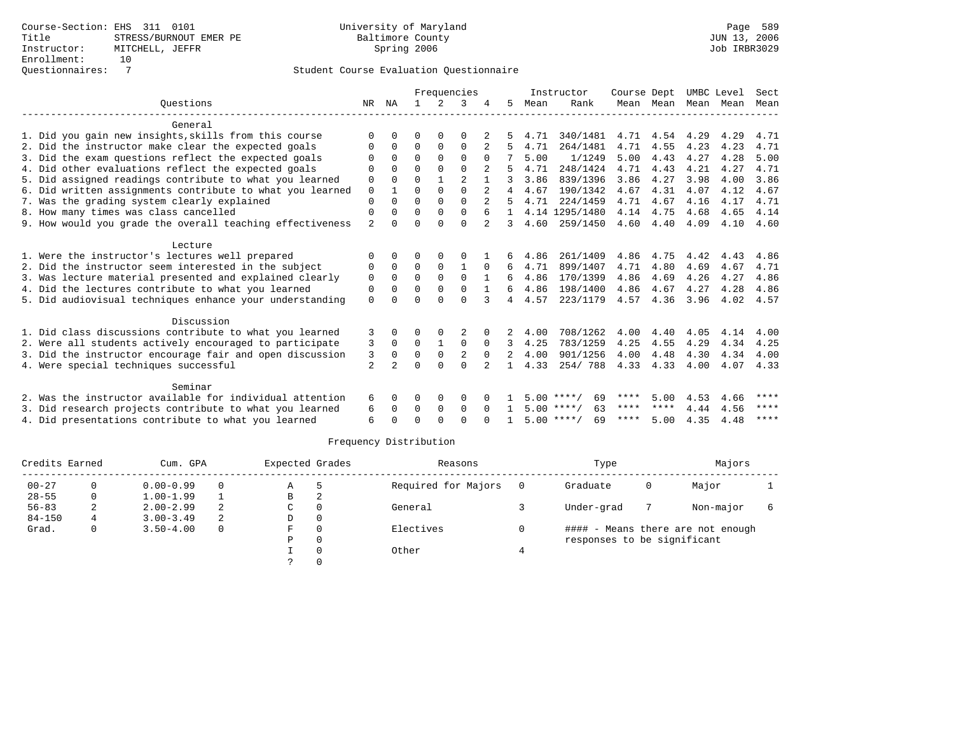|                                                           |                |                |             |               | Frequencies    |                |                |      | Instructor         | Course Dept |           | UMBC Level |      | Sect |
|-----------------------------------------------------------|----------------|----------------|-------------|---------------|----------------|----------------|----------------|------|--------------------|-------------|-----------|------------|------|------|
| Ouestions                                                 | NR             | ΝA             |             | $\mathcal{L}$ | 3              |                | 5.             | Mean | Rank               |             | Mean Mean | Mean       | Mean | Mean |
| General                                                   |                |                |             |               |                |                |                |      |                    |             |           |            |      |      |
| 1. Did you gain new insights, skills from this course     | ∩              | <sup>0</sup>   | O           | $\Omega$      | $\Omega$       |                |                | 4.71 | 340/1481           | 4.71        | 4.54 4.29 |            | 4.29 | 4.71 |
| 2. Did the instructor make clear the expected goals       | 0              | $\Omega$       | $\Omega$    | $\mathbf 0$   | $\Omega$       |                | 5              | 4.71 | 264/1481           | 4.71        | 4.55      | 4.23       | 4.23 | 4.71 |
| 3. Did the exam questions reflect the expected goals      | $\Omega$       | $\Omega$       | $\Omega$    | $\Omega$      | $\Omega$       | $\Omega$       |                | 5.00 | 1/1249             | 5.00        | 4.43      | 4.27       | 4.28 | 5.00 |
| 4. Did other evaluations reflect the expected goals       | $\Omega$       | $\Omega$       | $\Omega$    | $\Omega$      | $\Omega$       |                |                | 4.71 | 248/1424           | 4.71        | 4.43      | 4.21       | 4.27 | 4.71 |
| 5. Did assigned readings contribute to what you learned   | $\Omega$       | $\Omega$       | $\Omega$    |               | $\overline{2}$ |                |                | 3.86 | 839/1396           | 3.86        | 4.27      | 3.98       | 4.00 | 3.86 |
| 6. Did written assignments contribute to what you learned | $\mathbf 0$    |                | $\Omega$    |               | $\Omega$       |                |                | 4.67 | 190/1342           | 4.67        | 4.31      | 4.07       | 4.12 | 4.67 |
| 7. Was the grading system clearly explained               | $\Omega$       | $\Omega$       | $\Omega$    | $\Omega$      | $\Omega$       |                | 5              | 4.71 | 224/1459           | 4.71        | 4.67      | 4.16       | 4.17 | 4.71 |
| 8. How many times was class cancelled                     | $\Omega$       | $\Omega$       | $\Omega$    | $\Omega$      | $\Omega$       |                | $\mathbf{1}$   |      | 4.14 1295/1480     | 4.14        | 4.75      | 4.68       | 4.65 | 4.14 |
| 9. How would you grade the overall teaching effectiveness | $\mathfrak{D}$ | <sup>n</sup>   | $\cap$      | $\cap$        | $\Omega$       | $2^{1}$        | 3              | 4.60 | 259/1450           | 4.60        | 4.40      | 4.09       | 4.10 | 4.60 |
| Lecture                                                   |                |                |             |               |                |                |                |      |                    |             |           |            |      |      |
| 1. Were the instructor's lectures well prepared           | $\Omega$       |                | 0           | $\Omega$      | $\Omega$       |                | 6              | 4.86 | 261/1409           | 4.86        | 4.75      | 4.42       | 4.43 | 4.86 |
| 2. Did the instructor seem interested in the subject      | $\Omega$       | 0              | $\Omega$    | $\Omega$      | $\mathbf{1}$   | $\Omega$       | 6              | 4.71 | 899/1407           | 4.71        | 4.80      | 4.69       | 4.67 | 4.71 |
| 3. Was lecture material presented and explained clearly   | $\Omega$       | $\Omega$       | $\Omega$    | $\Omega$      | $\Omega$       | $\mathbf{1}$   | 6              | 4.86 | 170/1399           | 4.86        | 4.69      | 4.26       | 4.27 | 4.86 |
| 4. Did the lectures contribute to what you learned        | $\Omega$       | $\Omega$       | $\Omega$    | $\Omega$      | $\Omega$       |                | 6              | 4.86 | 198/1400           | 4.86        | 4.67      | 4.27       | 4.28 | 4.86 |
| 5. Did audiovisual techniques enhance your understanding  | $\Omega$       |                | $\Omega$    |               | $\cap$         |                | $\overline{4}$ | 4.57 | 223/1179           | 4.57        | 4.36      | 3.96       | 4.02 | 4.57 |
| Discussion                                                |                |                |             |               |                |                |                |      |                    |             |           |            |      |      |
| 1. Did class discussions contribute to what you learned   | 3              | 0              | 0           | $\Omega$      |                | 0              | 2              | 4.00 | 708/1262           | 4.00        | 4.40      | 4.05       | 4.14 | 4.00 |
| 2. Were all students actively encouraged to participate   | 3              | $\Omega$       | $\mathbf 0$ | $\mathbf{1}$  | $\mathbf 0$    | $\Omega$       | 3              | 4.25 | 783/1259           | 4.25        | 4.55      | 4.29       | 4.34 | 4.25 |
| 3. Did the instructor encourage fair and open discussion  | 3              | $\Omega$       | $\Omega$    | $\Omega$      | $\overline{2}$ | $\Omega$       | 2              | 4.00 | 901/1256           | 4.00        | 4.48      | 4.30       | 4.34 | 4.00 |
| 4. Were special techniques successful                     | $\overline{2}$ | $\overline{2}$ | $\cap$      | $\cap$        | $\cap$         | $\mathfrak{D}$ | $\mathbf{1}$   | 4.33 | 254/788            |             | 4.33 4.33 | 4.00       | 4.07 | 4.33 |
| Seminar                                                   |                |                |             |               |                |                |                |      |                    |             |           |            |      |      |
| 2. Was the instructor available for individual attention  | 6              | 0              | 0           | 0             | 0              |                |                |      | $5.00$ ****/<br>69 | ****        | 5.00      | 4.53       | 4.66 | **** |
| 3. Did research projects contribute to what you learned   | 6              | 0              | 0           | $\mathbf 0$   | $\mathbf 0$    | $\Omega$       |                |      | $5.00$ ****/<br>63 | ****        | ****      | 4.44       | 4.56 | **** |
| 4. Did presentations contribute to what you learned       | 6              |                | $\cap$      | $\cap$        | $\cap$         | <sup>n</sup>   |                |      | $5.00$ ****/<br>69 | ****        | 5.00      | 4.35       | 4.48 | **** |
|                                                           |                |                |             |               |                |                |                |      |                    |             |           |            |      |      |

| Credits Earned |   | Cum. GPA      |          | Expected Grades |          | Reasons             | Type                        |   | Majors                            |  |
|----------------|---|---------------|----------|-----------------|----------|---------------------|-----------------------------|---|-----------------------------------|--|
| $00 - 27$      | 0 | $0.00 - 0.99$ | $\Omega$ | Α               |          | Required for Majors | Graduate                    | 0 | Major                             |  |
| $28 - 55$      | 0 | $1.00 - 1.99$ |          | В               |          |                     |                             |   |                                   |  |
| $56 - 83$      | 2 | $2.00 - 2.99$ | 2        | C               | $\Omega$ | General             | Under-grad                  |   | Non-major                         |  |
| $84 - 150$     | 4 | $3.00 - 3.49$ | 2        | D               | $\Omega$ |                     |                             |   |                                   |  |
| Grad.          | 0 | $3.50 - 4.00$ | $\Omega$ | F.              | $\Omega$ | Electives           |                             |   | #### - Means there are not enough |  |
|                |   |               |          | Ρ               | $\Omega$ |                     | responses to be significant |   |                                   |  |
|                |   |               |          |                 |          | Other               |                             |   |                                   |  |
|                |   |               |          |                 |          |                     |                             |   |                                   |  |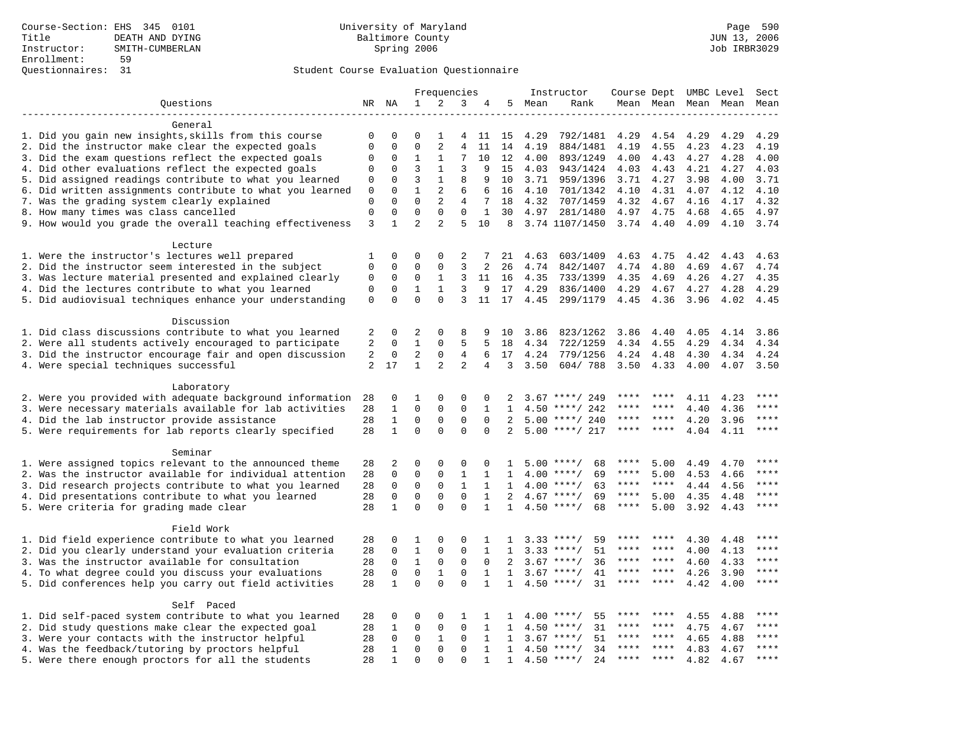| 2<br>NR NA<br>$\mathbf{1}$<br>3<br>5<br>Mean<br>Ouestions<br>4<br>Rank<br>Mean Mean<br>Mean Mean<br>Mean<br>General<br>1. Did you gain new insights, skills from this course<br>0<br>4.29<br>792/1481<br>4.29<br>4.54<br>4.29<br>0<br>0<br>1<br>11<br>15<br>4.29<br>4.29<br>4<br>$\Omega$<br>$\Omega$<br>$\overline{a}$<br>2. Did the instructor make clear the expected goals<br>$\mathbf 0$<br>$\overline{4}$<br>11<br>14<br>4.23<br>4.23<br>4.19<br>884/1481<br>4.19<br>4.55<br>4.19<br>3. Did the exam questions reflect the expected goals<br>$\mathbf{1}$<br>7<br>10<br>12<br>4.00<br>$\mathbf 0$<br>0<br>1<br>4.00<br>893/1249<br>4.00<br>4.43<br>4.27<br>4.28<br>4. Did other evaluations reflect the expected goals<br>3<br>$\mathbf{1}$<br>3<br>0<br>0<br>9<br>15<br>4.03<br>943/1424<br>4.03<br>4.43<br>4.21<br>4.27<br>4.03<br>5. Did assigned readings contribute to what you learned<br>3<br>$\mathbf{1}$<br>8<br>$\Omega$<br>9<br>10<br>3.71<br>959/1396<br>3.71<br>4.27<br>3.98<br>4.00<br>3.71<br>0<br>6. Did written assignments contribute to what you learned<br>$\mathbf 0$<br>$\Omega$<br>$\mathbf{1}$<br>2<br>6<br>4.10<br>701/1342<br>4.10<br>4.31<br>4.07<br>4.12<br>4.10<br>6<br>16<br>7. Was the grading system clearly explained<br>$\mathbf 0$<br>$\Omega$<br>$\Omega$<br>2<br>4<br>7<br>18<br>4.32<br>707/1459<br>4.32<br>4.67<br>4.16<br>4.17<br>4.32<br>8. How many times was class cancelled<br>$\mathbf{0}$<br>$\mathbf 0$<br>$\mathbf 0$<br>$\mathbf 0$<br>$\mathbf 0$<br>$\mathbf{1}$<br>30<br>4.97<br>281/1480<br>4.97<br>4.75<br>4.68<br>4.65<br>4.97<br>$\overline{2}$<br>5<br>9. How would you grade the overall teaching effectiveness<br>3<br>$\mathbf{1}$<br>2<br>10<br>8<br>3.74 1107/1450<br>3.74 4.40<br>4.09<br>4.10<br>3.74<br>Lecture<br>1. Were the instructor's lectures well prepared<br>0<br>$\mathbf 0$<br>$\mathbf 0$<br>2<br>21<br>4.63<br>603/1409<br>4.63<br>4.75<br>4.42<br>1<br>7<br>4.43<br>4.63<br>2. Did the instructor seem interested in the subject<br>$\mathbf 0$<br>$\mathbf{0}$<br>$\mathsf{O}\xspace$<br>3<br>2<br>4.80<br>0<br>26<br>4.74<br>842/1407<br>4.74<br>4.69<br>4.67<br>4.74<br>3. Was lecture material presented and explained clearly<br>$\mathsf 0$<br>$\mathbf 0$<br>$\mathbf{0}$<br>$\mathbf{1}$<br>3<br>4.35<br>733/1399<br>4.35<br>4.26<br>11<br>16<br>4.69<br>4.27<br>4.35<br>4. Did the lectures contribute to what you learned<br>$\mathbf{1}$<br>$\mathbf{1}$<br>0<br>0<br>3<br>9<br>17<br>4.29<br>836/1400<br>4.29<br>4.67<br>4.27<br>4.28<br>4.29<br>$\Omega$<br>5. Did audiovisual techniques enhance your understanding<br>$\mathsf 0$<br>$\Omega$<br>$\Omega$<br>3<br>11<br>17<br>4.45<br>299/1179<br>4.45<br>4.36<br>3.96<br>4.02<br>4.45<br>Discussion<br>1. Did class discussions contribute to what you learned<br>$\mathbf 0$<br>2<br>$\Omega$<br>8<br>2<br>9<br>3.86<br>823/1262<br>3.86<br>4.40<br>4.05<br>4.14<br>3.86<br>10<br>5<br>2. Were all students actively encouraged to participate<br>2<br>$\mathbf{1}$<br>$\mathbf 0$<br>5<br>18<br>4.34<br>4.34<br>4.55<br>0<br>722/1259<br>4.29<br>4.34<br>4.34<br>3. Did the instructor encourage fair and open discussion<br>2<br>$\overline{2}$<br>$\overline{4}$<br>17<br>4.24<br>779/1256<br>4.24<br>$\mathbf 0$<br>6<br>4.48<br>4.30<br>4.34<br>4.24<br>0<br>4. Were special techniques successful<br>$\overline{a}$<br>2<br>17<br>$\mathbf{1}$<br>2<br>$\overline{4}$<br>3<br>3.50<br>604/788<br>3.50<br>4.33<br>4.00<br>4.07<br>3.50<br>Laboratory<br>2. Were you provided with adequate background information<br>$\mathbf 0$<br>$\Omega$<br>28<br>0<br>1<br>$\mathbf 0$<br>2<br>****/ 249<br>4.11<br>4.23<br>3.67<br>$\mathbf{0}$<br>$\mathbf 0$<br>3. Were necessary materials available for lab activities<br>28<br>$\mathbf{1}$<br>$\mathbf 0$<br>****/ 242<br>4.40<br>****<br>1<br>1<br>4.50<br>****<br>****<br>4.36<br>4. Did the lab instructor provide assistance<br>28<br>$\mathbf{1}$<br>$\mathbf 0$<br>$\mathbf 0$<br>****/ 240<br>$***$ * * *<br>$***$ * * *<br>****<br>0<br>0<br>2<br>5.00<br>4.20<br>3.96<br>5. Were requirements for lab reports clearly specified<br>28<br>$\mathbf{1}$<br>$\Omega$<br>$\Omega$<br>$\Omega$<br>$5.00$ ****/ 217<br>$***$ * * *<br>4.04<br>$\Omega$<br>$\overline{2}$<br>****<br>4.11<br>****<br>Seminar<br>1. Were assigned topics relevant to the announced theme<br>2<br>$\mathbf{0}$<br>$\mathbf 0$<br>****<br>28<br>0<br>5.00<br>$***$ /<br>68<br>5.00<br>4.49<br>4.70<br>0<br>1<br>2. Was the instructor available for individual attention<br>28<br>$\mathbf 0$<br>$\mathbf 0$<br>$\mathbf 0$<br>$\mathbf{1}$<br>69<br>5.00<br>****<br>1<br>4.00<br>$***/$<br>****<br>4.53<br>4.66<br>1<br>3. Did research projects contribute to what you learned<br>$\mathbf 0$<br>$\mathbf 0$<br>$\mathbf 0$<br>$***$ * * *<br>$***$<br>****<br>28<br>1<br>$\mathbf{1}$<br>4.00<br>$***/$<br>63<br>4.44<br>4.56<br>$\mathbf{1}$<br>$\mathbf{0}$<br>4. Did presentations contribute to what you learned<br>$\mathbf 0$<br>$\Omega$<br>$\Omega$<br>$***$<br>28<br>$\mathbf{1}$<br>4.67<br>$***$ /<br>69<br>$***$ * *<br>5.00<br>4.35<br>4.48<br>2<br>$\Omega$<br>$\Omega$<br>$\Omega$<br>5. Were criteria for grading made clear<br>28<br>$\mathbf{1}$<br>$\mathbf{1}$<br>$4.50$ ****/<br>68<br>5.00<br>3.92<br>****<br>$\mathbf{1}$<br>$***$ * * *<br>4.43<br>Field Work<br>1. Did field experience contribute to what you learned<br>28<br>0<br>$\mathbf 0$<br>$3.33$ ****/<br>59<br>4.30<br>****<br>1<br>0<br>4.48<br>1<br>1<br>2. Did you clearly understand your evaluation criteria<br>$\Omega$<br>$\mathbf{1}$<br>28<br>$\Omega$<br>$\Omega$<br>$\mathbf{1}$<br>3.33<br>$***/$<br>51<br>$***$ * *<br>4.00<br>****<br>1<br>****<br>4.13<br>3. Was the instructor available for consultation<br>$\Omega$<br>$\mathbf{1}$<br>28<br>$\mathbf 0$<br>$\Omega$<br>$\Omega$<br>$3.67$ ****/<br>36<br>****<br>4.60<br>4.33<br>****<br>2<br>****<br>$\mathbf 0$<br>4. To what degree could you discuss your evaluations<br>28<br>$\mathbf 0$<br>$\mathbf{1}$<br>$\mathbf 0$<br>41<br>****<br>4.26<br>$***$<br>$\mathbf{1}$<br>1<br>3.67<br>$***/$<br>***<br>3.90<br>$\Omega$<br>5. Did conferences help you carry out field activities<br>$\mathbf{1}$<br>$\Omega$<br>$\Omega$<br>31<br>28<br>$\mathbf{1}$<br>4.50<br>$***$ /<br>4.42<br>4.00<br>$***$<br>1<br>Self Paced<br>1. Did self-paced system contribute to what you learned<br>$\Omega$<br>28<br>$\Omega$<br>$\Omega$<br>4.00<br>$***$ /<br>55<br>4.55<br>4.88<br>* * * *<br>1<br>1<br>2. Did study questions make clear the expected goal<br>$\mathbf{1}$<br>$\mathbf 0$<br>$\mathbf 0$<br>$\mathbf{0}$<br>31<br>****<br>28<br>$\mathbf{1}$<br>$***/$<br>4.75<br>4.67<br>1<br>4.50<br>****<br>****<br>3. Were your contacts with the instructor helpful<br>$\mathbf 0$<br>$\mathbf 0$<br>****<br>28<br>1<br>$\mathbf 0$<br>$\mathbf{1}$<br>3.67<br>$***/$<br>51<br>4.65<br>4.88<br>1<br>28<br>$\mathbf{0}$<br>$\Omega$<br>$\Omega$<br>34<br>****<br>4. Was the feedback/tutoring by proctors helpful<br>$\mathbf{1}$<br>$\mathbf{1}$<br>4.50<br>$***$ /<br>****<br>****<br>4.83<br>4.67<br>$\mathbf{1}$<br>$\Omega$<br>$***$ /<br>2.4<br>$***$ * * *<br>$***$<br>5. Were there enough proctors for all the students<br>28<br>$\mathbf{1}$<br>$\Omega$<br>$\Omega$<br>$\mathbf{1}$<br>4.50<br>$***$ *<br>4.82<br>4.67<br>$\mathbf{1}$ |  |  | Frequencies |  |  | Instructor | Course Dept |  | UMBC Level | Sect |
|--------------------------------------------------------------------------------------------------------------------------------------------------------------------------------------------------------------------------------------------------------------------------------------------------------------------------------------------------------------------------------------------------------------------------------------------------------------------------------------------------------------------------------------------------------------------------------------------------------------------------------------------------------------------------------------------------------------------------------------------------------------------------------------------------------------------------------------------------------------------------------------------------------------------------------------------------------------------------------------------------------------------------------------------------------------------------------------------------------------------------------------------------------------------------------------------------------------------------------------------------------------------------------------------------------------------------------------------------------------------------------------------------------------------------------------------------------------------------------------------------------------------------------------------------------------------------------------------------------------------------------------------------------------------------------------------------------------------------------------------------------------------------------------------------------------------------------------------------------------------------------------------------------------------------------------------------------------------------------------------------------------------------------------------------------------------------------------------------------------------------------------------------------------------------------------------------------------------------------------------------------------------------------------------------------------------------------------------------------------------------------------------------------------------------------------------------------------------------------------------------------------------------------------------------------------------------------------------------------------------------------------------------------------------------------------------------------------------------------------------------------------------------------------------------------------------------------------------------------------------------------------------------------------------------------------------------------------------------------------------------------------------------------------------------------------------------------------------------------------------------------------------------------------------------------------------------------------------------------------------------------------------------------------------------------------------------------------------------------------------------------------------------------------------------------------------------------------------------------------------------------------------------------------------------------------------------------------------------------------------------------------------------------------------------------------------------------------------------------------------------------------------------------------------------------------------------------------------------------------------------------------------------------------------------------------------------------------------------------------------------------------------------------------------------------------------------------------------------------------------------------------------------------------------------------------------------------------------------------------------------------------------------------------------------------------------------------------------------------------------------------------------------------------------------------------------------------------------------------------------------------------------------------------------------------------------------------------------------------------------------------------------------------------------------------------------------------------------------------------------------------------------------------------------------------------------------------------------------------------------------------------------------------------------------------------------------------------------------------------------------------------------------------------------------------------------------------------------------------------------------------------------------------------------------------------------------------------------------------------------------------------------------------------------------------------------------------------------------------------------------------------------------------------------------------------------------------------------------------------------------------------------------------------------------------------------------------------------------------------------------------------------------------------------------------------------------------------------------------------------------------------------------------------------------------------------------------------------------------------------------------------------------------------------------------------------------------------------------------------------------------------------------------------------------------------------------------------------------------------------------------------------------------------------------------------------------------------------------------------------------------------------------------------------------------------------------------------------------------------------------------------------------------------------------------------------------------------------------------------------------------------------------------------------------------------------------------------------------------------------------------------------------------------------------------------------------------------------------------------------------------------------------------------------------------------------------------------------------------------------------------------------------------------------------------------------------------------------------------------------------------------------------------------------------------------------------------------------------------------------------------------------------------------------------------------------------------------------------------------------------------------------------------------------------------------------------------------------------------------------------------------------------|--|--|-------------|--|--|------------|-------------|--|------------|------|
|                                                                                                                                                                                                                                                                                                                                                                                                                                                                                                                                                                                                                                                                                                                                                                                                                                                                                                                                                                                                                                                                                                                                                                                                                                                                                                                                                                                                                                                                                                                                                                                                                                                                                                                                                                                                                                                                                                                                                                                                                                                                                                                                                                                                                                                                                                                                                                                                                                                                                                                                                                                                                                                                                                                                                                                                                                                                                                                                                                                                                                                                                                                                                                                                                                                                                                                                                                                                                                                                                                                                                                                                                                                                                                                                                                                                                                                                                                                                                                                                                                                                                                                                                                                                                                                                                                                                                                                                                                                                                                                                                                                                                                                                                                                                                                                                                                                                                                                                                                                                                                                                                                                                                                                                                                                                                                                                                                                                                                                                                                                                                                                                                                                                                                                                                                                                                                                                                                                                                                                                                                                                                                                                                                                                                                                                                                                                                                                                                                                                                                                                                                                                                                                                                                                                                                                                                                                                                                                                                                                                                                                                                                                                                                                                                                                                                                                                                                                                  |  |  |             |  |  |            |             |  |            |      |
|                                                                                                                                                                                                                                                                                                                                                                                                                                                                                                                                                                                                                                                                                                                                                                                                                                                                                                                                                                                                                                                                                                                                                                                                                                                                                                                                                                                                                                                                                                                                                                                                                                                                                                                                                                                                                                                                                                                                                                                                                                                                                                                                                                                                                                                                                                                                                                                                                                                                                                                                                                                                                                                                                                                                                                                                                                                                                                                                                                                                                                                                                                                                                                                                                                                                                                                                                                                                                                                                                                                                                                                                                                                                                                                                                                                                                                                                                                                                                                                                                                                                                                                                                                                                                                                                                                                                                                                                                                                                                                                                                                                                                                                                                                                                                                                                                                                                                                                                                                                                                                                                                                                                                                                                                                                                                                                                                                                                                                                                                                                                                                                                                                                                                                                                                                                                                                                                                                                                                                                                                                                                                                                                                                                                                                                                                                                                                                                                                                                                                                                                                                                                                                                                                                                                                                                                                                                                                                                                                                                                                                                                                                                                                                                                                                                                                                                                                                                                  |  |  |             |  |  |            |             |  |            |      |
|                                                                                                                                                                                                                                                                                                                                                                                                                                                                                                                                                                                                                                                                                                                                                                                                                                                                                                                                                                                                                                                                                                                                                                                                                                                                                                                                                                                                                                                                                                                                                                                                                                                                                                                                                                                                                                                                                                                                                                                                                                                                                                                                                                                                                                                                                                                                                                                                                                                                                                                                                                                                                                                                                                                                                                                                                                                                                                                                                                                                                                                                                                                                                                                                                                                                                                                                                                                                                                                                                                                                                                                                                                                                                                                                                                                                                                                                                                                                                                                                                                                                                                                                                                                                                                                                                                                                                                                                                                                                                                                                                                                                                                                                                                                                                                                                                                                                                                                                                                                                                                                                                                                                                                                                                                                                                                                                                                                                                                                                                                                                                                                                                                                                                                                                                                                                                                                                                                                                                                                                                                                                                                                                                                                                                                                                                                                                                                                                                                                                                                                                                                                                                                                                                                                                                                                                                                                                                                                                                                                                                                                                                                                                                                                                                                                                                                                                                                                                  |  |  |             |  |  |            |             |  |            |      |
|                                                                                                                                                                                                                                                                                                                                                                                                                                                                                                                                                                                                                                                                                                                                                                                                                                                                                                                                                                                                                                                                                                                                                                                                                                                                                                                                                                                                                                                                                                                                                                                                                                                                                                                                                                                                                                                                                                                                                                                                                                                                                                                                                                                                                                                                                                                                                                                                                                                                                                                                                                                                                                                                                                                                                                                                                                                                                                                                                                                                                                                                                                                                                                                                                                                                                                                                                                                                                                                                                                                                                                                                                                                                                                                                                                                                                                                                                                                                                                                                                                                                                                                                                                                                                                                                                                                                                                                                                                                                                                                                                                                                                                                                                                                                                                                                                                                                                                                                                                                                                                                                                                                                                                                                                                                                                                                                                                                                                                                                                                                                                                                                                                                                                                                                                                                                                                                                                                                                                                                                                                                                                                                                                                                                                                                                                                                                                                                                                                                                                                                                                                                                                                                                                                                                                                                                                                                                                                                                                                                                                                                                                                                                                                                                                                                                                                                                                                                                  |  |  |             |  |  |            |             |  |            |      |
|                                                                                                                                                                                                                                                                                                                                                                                                                                                                                                                                                                                                                                                                                                                                                                                                                                                                                                                                                                                                                                                                                                                                                                                                                                                                                                                                                                                                                                                                                                                                                                                                                                                                                                                                                                                                                                                                                                                                                                                                                                                                                                                                                                                                                                                                                                                                                                                                                                                                                                                                                                                                                                                                                                                                                                                                                                                                                                                                                                                                                                                                                                                                                                                                                                                                                                                                                                                                                                                                                                                                                                                                                                                                                                                                                                                                                                                                                                                                                                                                                                                                                                                                                                                                                                                                                                                                                                                                                                                                                                                                                                                                                                                                                                                                                                                                                                                                                                                                                                                                                                                                                                                                                                                                                                                                                                                                                                                                                                                                                                                                                                                                                                                                                                                                                                                                                                                                                                                                                                                                                                                                                                                                                                                                                                                                                                                                                                                                                                                                                                                                                                                                                                                                                                                                                                                                                                                                                                                                                                                                                                                                                                                                                                                                                                                                                                                                                                                                  |  |  |             |  |  |            |             |  |            |      |
|                                                                                                                                                                                                                                                                                                                                                                                                                                                                                                                                                                                                                                                                                                                                                                                                                                                                                                                                                                                                                                                                                                                                                                                                                                                                                                                                                                                                                                                                                                                                                                                                                                                                                                                                                                                                                                                                                                                                                                                                                                                                                                                                                                                                                                                                                                                                                                                                                                                                                                                                                                                                                                                                                                                                                                                                                                                                                                                                                                                                                                                                                                                                                                                                                                                                                                                                                                                                                                                                                                                                                                                                                                                                                                                                                                                                                                                                                                                                                                                                                                                                                                                                                                                                                                                                                                                                                                                                                                                                                                                                                                                                                                                                                                                                                                                                                                                                                                                                                                                                                                                                                                                                                                                                                                                                                                                                                                                                                                                                                                                                                                                                                                                                                                                                                                                                                                                                                                                                                                                                                                                                                                                                                                                                                                                                                                                                                                                                                                                                                                                                                                                                                                                                                                                                                                                                                                                                                                                                                                                                                                                                                                                                                                                                                                                                                                                                                                                                  |  |  |             |  |  |            |             |  |            |      |
|                                                                                                                                                                                                                                                                                                                                                                                                                                                                                                                                                                                                                                                                                                                                                                                                                                                                                                                                                                                                                                                                                                                                                                                                                                                                                                                                                                                                                                                                                                                                                                                                                                                                                                                                                                                                                                                                                                                                                                                                                                                                                                                                                                                                                                                                                                                                                                                                                                                                                                                                                                                                                                                                                                                                                                                                                                                                                                                                                                                                                                                                                                                                                                                                                                                                                                                                                                                                                                                                                                                                                                                                                                                                                                                                                                                                                                                                                                                                                                                                                                                                                                                                                                                                                                                                                                                                                                                                                                                                                                                                                                                                                                                                                                                                                                                                                                                                                                                                                                                                                                                                                                                                                                                                                                                                                                                                                                                                                                                                                                                                                                                                                                                                                                                                                                                                                                                                                                                                                                                                                                                                                                                                                                                                                                                                                                                                                                                                                                                                                                                                                                                                                                                                                                                                                                                                                                                                                                                                                                                                                                                                                                                                                                                                                                                                                                                                                                                                  |  |  |             |  |  |            |             |  |            |      |
|                                                                                                                                                                                                                                                                                                                                                                                                                                                                                                                                                                                                                                                                                                                                                                                                                                                                                                                                                                                                                                                                                                                                                                                                                                                                                                                                                                                                                                                                                                                                                                                                                                                                                                                                                                                                                                                                                                                                                                                                                                                                                                                                                                                                                                                                                                                                                                                                                                                                                                                                                                                                                                                                                                                                                                                                                                                                                                                                                                                                                                                                                                                                                                                                                                                                                                                                                                                                                                                                                                                                                                                                                                                                                                                                                                                                                                                                                                                                                                                                                                                                                                                                                                                                                                                                                                                                                                                                                                                                                                                                                                                                                                                                                                                                                                                                                                                                                                                                                                                                                                                                                                                                                                                                                                                                                                                                                                                                                                                                                                                                                                                                                                                                                                                                                                                                                                                                                                                                                                                                                                                                                                                                                                                                                                                                                                                                                                                                                                                                                                                                                                                                                                                                                                                                                                                                                                                                                                                                                                                                                                                                                                                                                                                                                                                                                                                                                                                                  |  |  |             |  |  |            |             |  |            |      |
|                                                                                                                                                                                                                                                                                                                                                                                                                                                                                                                                                                                                                                                                                                                                                                                                                                                                                                                                                                                                                                                                                                                                                                                                                                                                                                                                                                                                                                                                                                                                                                                                                                                                                                                                                                                                                                                                                                                                                                                                                                                                                                                                                                                                                                                                                                                                                                                                                                                                                                                                                                                                                                                                                                                                                                                                                                                                                                                                                                                                                                                                                                                                                                                                                                                                                                                                                                                                                                                                                                                                                                                                                                                                                                                                                                                                                                                                                                                                                                                                                                                                                                                                                                                                                                                                                                                                                                                                                                                                                                                                                                                                                                                                                                                                                                                                                                                                                                                                                                                                                                                                                                                                                                                                                                                                                                                                                                                                                                                                                                                                                                                                                                                                                                                                                                                                                                                                                                                                                                                                                                                                                                                                                                                                                                                                                                                                                                                                                                                                                                                                                                                                                                                                                                                                                                                                                                                                                                                                                                                                                                                                                                                                                                                                                                                                                                                                                                                                  |  |  |             |  |  |            |             |  |            |      |
|                                                                                                                                                                                                                                                                                                                                                                                                                                                                                                                                                                                                                                                                                                                                                                                                                                                                                                                                                                                                                                                                                                                                                                                                                                                                                                                                                                                                                                                                                                                                                                                                                                                                                                                                                                                                                                                                                                                                                                                                                                                                                                                                                                                                                                                                                                                                                                                                                                                                                                                                                                                                                                                                                                                                                                                                                                                                                                                                                                                                                                                                                                                                                                                                                                                                                                                                                                                                                                                                                                                                                                                                                                                                                                                                                                                                                                                                                                                                                                                                                                                                                                                                                                                                                                                                                                                                                                                                                                                                                                                                                                                                                                                                                                                                                                                                                                                                                                                                                                                                                                                                                                                                                                                                                                                                                                                                                                                                                                                                                                                                                                                                                                                                                                                                                                                                                                                                                                                                                                                                                                                                                                                                                                                                                                                                                                                                                                                                                                                                                                                                                                                                                                                                                                                                                                                                                                                                                                                                                                                                                                                                                                                                                                                                                                                                                                                                                                                                  |  |  |             |  |  |            |             |  |            |      |
|                                                                                                                                                                                                                                                                                                                                                                                                                                                                                                                                                                                                                                                                                                                                                                                                                                                                                                                                                                                                                                                                                                                                                                                                                                                                                                                                                                                                                                                                                                                                                                                                                                                                                                                                                                                                                                                                                                                                                                                                                                                                                                                                                                                                                                                                                                                                                                                                                                                                                                                                                                                                                                                                                                                                                                                                                                                                                                                                                                                                                                                                                                                                                                                                                                                                                                                                                                                                                                                                                                                                                                                                                                                                                                                                                                                                                                                                                                                                                                                                                                                                                                                                                                                                                                                                                                                                                                                                                                                                                                                                                                                                                                                                                                                                                                                                                                                                                                                                                                                                                                                                                                                                                                                                                                                                                                                                                                                                                                                                                                                                                                                                                                                                                                                                                                                                                                                                                                                                                                                                                                                                                                                                                                                                                                                                                                                                                                                                                                                                                                                                                                                                                                                                                                                                                                                                                                                                                                                                                                                                                                                                                                                                                                                                                                                                                                                                                                                                  |  |  |             |  |  |            |             |  |            |      |
|                                                                                                                                                                                                                                                                                                                                                                                                                                                                                                                                                                                                                                                                                                                                                                                                                                                                                                                                                                                                                                                                                                                                                                                                                                                                                                                                                                                                                                                                                                                                                                                                                                                                                                                                                                                                                                                                                                                                                                                                                                                                                                                                                                                                                                                                                                                                                                                                                                                                                                                                                                                                                                                                                                                                                                                                                                                                                                                                                                                                                                                                                                                                                                                                                                                                                                                                                                                                                                                                                                                                                                                                                                                                                                                                                                                                                                                                                                                                                                                                                                                                                                                                                                                                                                                                                                                                                                                                                                                                                                                                                                                                                                                                                                                                                                                                                                                                                                                                                                                                                                                                                                                                                                                                                                                                                                                                                                                                                                                                                                                                                                                                                                                                                                                                                                                                                                                                                                                                                                                                                                                                                                                                                                                                                                                                                                                                                                                                                                                                                                                                                                                                                                                                                                                                                                                                                                                                                                                                                                                                                                                                                                                                                                                                                                                                                                                                                                                                  |  |  |             |  |  |            |             |  |            |      |
|                                                                                                                                                                                                                                                                                                                                                                                                                                                                                                                                                                                                                                                                                                                                                                                                                                                                                                                                                                                                                                                                                                                                                                                                                                                                                                                                                                                                                                                                                                                                                                                                                                                                                                                                                                                                                                                                                                                                                                                                                                                                                                                                                                                                                                                                                                                                                                                                                                                                                                                                                                                                                                                                                                                                                                                                                                                                                                                                                                                                                                                                                                                                                                                                                                                                                                                                                                                                                                                                                                                                                                                                                                                                                                                                                                                                                                                                                                                                                                                                                                                                                                                                                                                                                                                                                                                                                                                                                                                                                                                                                                                                                                                                                                                                                                                                                                                                                                                                                                                                                                                                                                                                                                                                                                                                                                                                                                                                                                                                                                                                                                                                                                                                                                                                                                                                                                                                                                                                                                                                                                                                                                                                                                                                                                                                                                                                                                                                                                                                                                                                                                                                                                                                                                                                                                                                                                                                                                                                                                                                                                                                                                                                                                                                                                                                                                                                                                                                  |  |  |             |  |  |            |             |  |            |      |
|                                                                                                                                                                                                                                                                                                                                                                                                                                                                                                                                                                                                                                                                                                                                                                                                                                                                                                                                                                                                                                                                                                                                                                                                                                                                                                                                                                                                                                                                                                                                                                                                                                                                                                                                                                                                                                                                                                                                                                                                                                                                                                                                                                                                                                                                                                                                                                                                                                                                                                                                                                                                                                                                                                                                                                                                                                                                                                                                                                                                                                                                                                                                                                                                                                                                                                                                                                                                                                                                                                                                                                                                                                                                                                                                                                                                                                                                                                                                                                                                                                                                                                                                                                                                                                                                                                                                                                                                                                                                                                                                                                                                                                                                                                                                                                                                                                                                                                                                                                                                                                                                                                                                                                                                                                                                                                                                                                                                                                                                                                                                                                                                                                                                                                                                                                                                                                                                                                                                                                                                                                                                                                                                                                                                                                                                                                                                                                                                                                                                                                                                                                                                                                                                                                                                                                                                                                                                                                                                                                                                                                                                                                                                                                                                                                                                                                                                                                                                  |  |  |             |  |  |            |             |  |            |      |
|                                                                                                                                                                                                                                                                                                                                                                                                                                                                                                                                                                                                                                                                                                                                                                                                                                                                                                                                                                                                                                                                                                                                                                                                                                                                                                                                                                                                                                                                                                                                                                                                                                                                                                                                                                                                                                                                                                                                                                                                                                                                                                                                                                                                                                                                                                                                                                                                                                                                                                                                                                                                                                                                                                                                                                                                                                                                                                                                                                                                                                                                                                                                                                                                                                                                                                                                                                                                                                                                                                                                                                                                                                                                                                                                                                                                                                                                                                                                                                                                                                                                                                                                                                                                                                                                                                                                                                                                                                                                                                                                                                                                                                                                                                                                                                                                                                                                                                                                                                                                                                                                                                                                                                                                                                                                                                                                                                                                                                                                                                                                                                                                                                                                                                                                                                                                                                                                                                                                                                                                                                                                                                                                                                                                                                                                                                                                                                                                                                                                                                                                                                                                                                                                                                                                                                                                                                                                                                                                                                                                                                                                                                                                                                                                                                                                                                                                                                                                  |  |  |             |  |  |            |             |  |            |      |
|                                                                                                                                                                                                                                                                                                                                                                                                                                                                                                                                                                                                                                                                                                                                                                                                                                                                                                                                                                                                                                                                                                                                                                                                                                                                                                                                                                                                                                                                                                                                                                                                                                                                                                                                                                                                                                                                                                                                                                                                                                                                                                                                                                                                                                                                                                                                                                                                                                                                                                                                                                                                                                                                                                                                                                                                                                                                                                                                                                                                                                                                                                                                                                                                                                                                                                                                                                                                                                                                                                                                                                                                                                                                                                                                                                                                                                                                                                                                                                                                                                                                                                                                                                                                                                                                                                                                                                                                                                                                                                                                                                                                                                                                                                                                                                                                                                                                                                                                                                                                                                                                                                                                                                                                                                                                                                                                                                                                                                                                                                                                                                                                                                                                                                                                                                                                                                                                                                                                                                                                                                                                                                                                                                                                                                                                                                                                                                                                                                                                                                                                                                                                                                                                                                                                                                                                                                                                                                                                                                                                                                                                                                                                                                                                                                                                                                                                                                                                  |  |  |             |  |  |            |             |  |            |      |
|                                                                                                                                                                                                                                                                                                                                                                                                                                                                                                                                                                                                                                                                                                                                                                                                                                                                                                                                                                                                                                                                                                                                                                                                                                                                                                                                                                                                                                                                                                                                                                                                                                                                                                                                                                                                                                                                                                                                                                                                                                                                                                                                                                                                                                                                                                                                                                                                                                                                                                                                                                                                                                                                                                                                                                                                                                                                                                                                                                                                                                                                                                                                                                                                                                                                                                                                                                                                                                                                                                                                                                                                                                                                                                                                                                                                                                                                                                                                                                                                                                                                                                                                                                                                                                                                                                                                                                                                                                                                                                                                                                                                                                                                                                                                                                                                                                                                                                                                                                                                                                                                                                                                                                                                                                                                                                                                                                                                                                                                                                                                                                                                                                                                                                                                                                                                                                                                                                                                                                                                                                                                                                                                                                                                                                                                                                                                                                                                                                                                                                                                                                                                                                                                                                                                                                                                                                                                                                                                                                                                                                                                                                                                                                                                                                                                                                                                                                                                  |  |  |             |  |  |            |             |  |            |      |
|                                                                                                                                                                                                                                                                                                                                                                                                                                                                                                                                                                                                                                                                                                                                                                                                                                                                                                                                                                                                                                                                                                                                                                                                                                                                                                                                                                                                                                                                                                                                                                                                                                                                                                                                                                                                                                                                                                                                                                                                                                                                                                                                                                                                                                                                                                                                                                                                                                                                                                                                                                                                                                                                                                                                                                                                                                                                                                                                                                                                                                                                                                                                                                                                                                                                                                                                                                                                                                                                                                                                                                                                                                                                                                                                                                                                                                                                                                                                                                                                                                                                                                                                                                                                                                                                                                                                                                                                                                                                                                                                                                                                                                                                                                                                                                                                                                                                                                                                                                                                                                                                                                                                                                                                                                                                                                                                                                                                                                                                                                                                                                                                                                                                                                                                                                                                                                                                                                                                                                                                                                                                                                                                                                                                                                                                                                                                                                                                                                                                                                                                                                                                                                                                                                                                                                                                                                                                                                                                                                                                                                                                                                                                                                                                                                                                                                                                                                                                  |  |  |             |  |  |            |             |  |            |      |
|                                                                                                                                                                                                                                                                                                                                                                                                                                                                                                                                                                                                                                                                                                                                                                                                                                                                                                                                                                                                                                                                                                                                                                                                                                                                                                                                                                                                                                                                                                                                                                                                                                                                                                                                                                                                                                                                                                                                                                                                                                                                                                                                                                                                                                                                                                                                                                                                                                                                                                                                                                                                                                                                                                                                                                                                                                                                                                                                                                                                                                                                                                                                                                                                                                                                                                                                                                                                                                                                                                                                                                                                                                                                                                                                                                                                                                                                                                                                                                                                                                                                                                                                                                                                                                                                                                                                                                                                                                                                                                                                                                                                                                                                                                                                                                                                                                                                                                                                                                                                                                                                                                                                                                                                                                                                                                                                                                                                                                                                                                                                                                                                                                                                                                                                                                                                                                                                                                                                                                                                                                                                                                                                                                                                                                                                                                                                                                                                                                                                                                                                                                                                                                                                                                                                                                                                                                                                                                                                                                                                                                                                                                                                                                                                                                                                                                                                                                                                  |  |  |             |  |  |            |             |  |            |      |
|                                                                                                                                                                                                                                                                                                                                                                                                                                                                                                                                                                                                                                                                                                                                                                                                                                                                                                                                                                                                                                                                                                                                                                                                                                                                                                                                                                                                                                                                                                                                                                                                                                                                                                                                                                                                                                                                                                                                                                                                                                                                                                                                                                                                                                                                                                                                                                                                                                                                                                                                                                                                                                                                                                                                                                                                                                                                                                                                                                                                                                                                                                                                                                                                                                                                                                                                                                                                                                                                                                                                                                                                                                                                                                                                                                                                                                                                                                                                                                                                                                                                                                                                                                                                                                                                                                                                                                                                                                                                                                                                                                                                                                                                                                                                                                                                                                                                                                                                                                                                                                                                                                                                                                                                                                                                                                                                                                                                                                                                                                                                                                                                                                                                                                                                                                                                                                                                                                                                                                                                                                                                                                                                                                                                                                                                                                                                                                                                                                                                                                                                                                                                                                                                                                                                                                                                                                                                                                                                                                                                                                                                                                                                                                                                                                                                                                                                                                                                  |  |  |             |  |  |            |             |  |            |      |
|                                                                                                                                                                                                                                                                                                                                                                                                                                                                                                                                                                                                                                                                                                                                                                                                                                                                                                                                                                                                                                                                                                                                                                                                                                                                                                                                                                                                                                                                                                                                                                                                                                                                                                                                                                                                                                                                                                                                                                                                                                                                                                                                                                                                                                                                                                                                                                                                                                                                                                                                                                                                                                                                                                                                                                                                                                                                                                                                                                                                                                                                                                                                                                                                                                                                                                                                                                                                                                                                                                                                                                                                                                                                                                                                                                                                                                                                                                                                                                                                                                                                                                                                                                                                                                                                                                                                                                                                                                                                                                                                                                                                                                                                                                                                                                                                                                                                                                                                                                                                                                                                                                                                                                                                                                                                                                                                                                                                                                                                                                                                                                                                                                                                                                                                                                                                                                                                                                                                                                                                                                                                                                                                                                                                                                                                                                                                                                                                                                                                                                                                                                                                                                                                                                                                                                                                                                                                                                                                                                                                                                                                                                                                                                                                                                                                                                                                                                                                  |  |  |             |  |  |            |             |  |            |      |
|                                                                                                                                                                                                                                                                                                                                                                                                                                                                                                                                                                                                                                                                                                                                                                                                                                                                                                                                                                                                                                                                                                                                                                                                                                                                                                                                                                                                                                                                                                                                                                                                                                                                                                                                                                                                                                                                                                                                                                                                                                                                                                                                                                                                                                                                                                                                                                                                                                                                                                                                                                                                                                                                                                                                                                                                                                                                                                                                                                                                                                                                                                                                                                                                                                                                                                                                                                                                                                                                                                                                                                                                                                                                                                                                                                                                                                                                                                                                                                                                                                                                                                                                                                                                                                                                                                                                                                                                                                                                                                                                                                                                                                                                                                                                                                                                                                                                                                                                                                                                                                                                                                                                                                                                                                                                                                                                                                                                                                                                                                                                                                                                                                                                                                                                                                                                                                                                                                                                                                                                                                                                                                                                                                                                                                                                                                                                                                                                                                                                                                                                                                                                                                                                                                                                                                                                                                                                                                                                                                                                                                                                                                                                                                                                                                                                                                                                                                                                  |  |  |             |  |  |            |             |  |            |      |
|                                                                                                                                                                                                                                                                                                                                                                                                                                                                                                                                                                                                                                                                                                                                                                                                                                                                                                                                                                                                                                                                                                                                                                                                                                                                                                                                                                                                                                                                                                                                                                                                                                                                                                                                                                                                                                                                                                                                                                                                                                                                                                                                                                                                                                                                                                                                                                                                                                                                                                                                                                                                                                                                                                                                                                                                                                                                                                                                                                                                                                                                                                                                                                                                                                                                                                                                                                                                                                                                                                                                                                                                                                                                                                                                                                                                                                                                                                                                                                                                                                                                                                                                                                                                                                                                                                                                                                                                                                                                                                                                                                                                                                                                                                                                                                                                                                                                                                                                                                                                                                                                                                                                                                                                                                                                                                                                                                                                                                                                                                                                                                                                                                                                                                                                                                                                                                                                                                                                                                                                                                                                                                                                                                                                                                                                                                                                                                                                                                                                                                                                                                                                                                                                                                                                                                                                                                                                                                                                                                                                                                                                                                                                                                                                                                                                                                                                                                                                  |  |  |             |  |  |            |             |  |            |      |
|                                                                                                                                                                                                                                                                                                                                                                                                                                                                                                                                                                                                                                                                                                                                                                                                                                                                                                                                                                                                                                                                                                                                                                                                                                                                                                                                                                                                                                                                                                                                                                                                                                                                                                                                                                                                                                                                                                                                                                                                                                                                                                                                                                                                                                                                                                                                                                                                                                                                                                                                                                                                                                                                                                                                                                                                                                                                                                                                                                                                                                                                                                                                                                                                                                                                                                                                                                                                                                                                                                                                                                                                                                                                                                                                                                                                                                                                                                                                                                                                                                                                                                                                                                                                                                                                                                                                                                                                                                                                                                                                                                                                                                                                                                                                                                                                                                                                                                                                                                                                                                                                                                                                                                                                                                                                                                                                                                                                                                                                                                                                                                                                                                                                                                                                                                                                                                                                                                                                                                                                                                                                                                                                                                                                                                                                                                                                                                                                                                                                                                                                                                                                                                                                                                                                                                                                                                                                                                                                                                                                                                                                                                                                                                                                                                                                                                                                                                                                  |  |  |             |  |  |            |             |  |            |      |
|                                                                                                                                                                                                                                                                                                                                                                                                                                                                                                                                                                                                                                                                                                                                                                                                                                                                                                                                                                                                                                                                                                                                                                                                                                                                                                                                                                                                                                                                                                                                                                                                                                                                                                                                                                                                                                                                                                                                                                                                                                                                                                                                                                                                                                                                                                                                                                                                                                                                                                                                                                                                                                                                                                                                                                                                                                                                                                                                                                                                                                                                                                                                                                                                                                                                                                                                                                                                                                                                                                                                                                                                                                                                                                                                                                                                                                                                                                                                                                                                                                                                                                                                                                                                                                                                                                                                                                                                                                                                                                                                                                                                                                                                                                                                                                                                                                                                                                                                                                                                                                                                                                                                                                                                                                                                                                                                                                                                                                                                                                                                                                                                                                                                                                                                                                                                                                                                                                                                                                                                                                                                                                                                                                                                                                                                                                                                                                                                                                                                                                                                                                                                                                                                                                                                                                                                                                                                                                                                                                                                                                                                                                                                                                                                                                                                                                                                                                                                  |  |  |             |  |  |            |             |  |            |      |
|                                                                                                                                                                                                                                                                                                                                                                                                                                                                                                                                                                                                                                                                                                                                                                                                                                                                                                                                                                                                                                                                                                                                                                                                                                                                                                                                                                                                                                                                                                                                                                                                                                                                                                                                                                                                                                                                                                                                                                                                                                                                                                                                                                                                                                                                                                                                                                                                                                                                                                                                                                                                                                                                                                                                                                                                                                                                                                                                                                                                                                                                                                                                                                                                                                                                                                                                                                                                                                                                                                                                                                                                                                                                                                                                                                                                                                                                                                                                                                                                                                                                                                                                                                                                                                                                                                                                                                                                                                                                                                                                                                                                                                                                                                                                                                                                                                                                                                                                                                                                                                                                                                                                                                                                                                                                                                                                                                                                                                                                                                                                                                                                                                                                                                                                                                                                                                                                                                                                                                                                                                                                                                                                                                                                                                                                                                                                                                                                                                                                                                                                                                                                                                                                                                                                                                                                                                                                                                                                                                                                                                                                                                                                                                                                                                                                                                                                                                                                  |  |  |             |  |  |            |             |  |            |      |
|                                                                                                                                                                                                                                                                                                                                                                                                                                                                                                                                                                                                                                                                                                                                                                                                                                                                                                                                                                                                                                                                                                                                                                                                                                                                                                                                                                                                                                                                                                                                                                                                                                                                                                                                                                                                                                                                                                                                                                                                                                                                                                                                                                                                                                                                                                                                                                                                                                                                                                                                                                                                                                                                                                                                                                                                                                                                                                                                                                                                                                                                                                                                                                                                                                                                                                                                                                                                                                                                                                                                                                                                                                                                                                                                                                                                                                                                                                                                                                                                                                                                                                                                                                                                                                                                                                                                                                                                                                                                                                                                                                                                                                                                                                                                                                                                                                                                                                                                                                                                                                                                                                                                                                                                                                                                                                                                                                                                                                                                                                                                                                                                                                                                                                                                                                                                                                                                                                                                                                                                                                                                                                                                                                                                                                                                                                                                                                                                                                                                                                                                                                                                                                                                                                                                                                                                                                                                                                                                                                                                                                                                                                                                                                                                                                                                                                                                                                                                  |  |  |             |  |  |            |             |  |            |      |
|                                                                                                                                                                                                                                                                                                                                                                                                                                                                                                                                                                                                                                                                                                                                                                                                                                                                                                                                                                                                                                                                                                                                                                                                                                                                                                                                                                                                                                                                                                                                                                                                                                                                                                                                                                                                                                                                                                                                                                                                                                                                                                                                                                                                                                                                                                                                                                                                                                                                                                                                                                                                                                                                                                                                                                                                                                                                                                                                                                                                                                                                                                                                                                                                                                                                                                                                                                                                                                                                                                                                                                                                                                                                                                                                                                                                                                                                                                                                                                                                                                                                                                                                                                                                                                                                                                                                                                                                                                                                                                                                                                                                                                                                                                                                                                                                                                                                                                                                                                                                                                                                                                                                                                                                                                                                                                                                                                                                                                                                                                                                                                                                                                                                                                                                                                                                                                                                                                                                                                                                                                                                                                                                                                                                                                                                                                                                                                                                                                                                                                                                                                                                                                                                                                                                                                                                                                                                                                                                                                                                                                                                                                                                                                                                                                                                                                                                                                                                  |  |  |             |  |  |            |             |  |            |      |
|                                                                                                                                                                                                                                                                                                                                                                                                                                                                                                                                                                                                                                                                                                                                                                                                                                                                                                                                                                                                                                                                                                                                                                                                                                                                                                                                                                                                                                                                                                                                                                                                                                                                                                                                                                                                                                                                                                                                                                                                                                                                                                                                                                                                                                                                                                                                                                                                                                                                                                                                                                                                                                                                                                                                                                                                                                                                                                                                                                                                                                                                                                                                                                                                                                                                                                                                                                                                                                                                                                                                                                                                                                                                                                                                                                                                                                                                                                                                                                                                                                                                                                                                                                                                                                                                                                                                                                                                                                                                                                                                                                                                                                                                                                                                                                                                                                                                                                                                                                                                                                                                                                                                                                                                                                                                                                                                                                                                                                                                                                                                                                                                                                                                                                                                                                                                                                                                                                                                                                                                                                                                                                                                                                                                                                                                                                                                                                                                                                                                                                                                                                                                                                                                                                                                                                                                                                                                                                                                                                                                                                                                                                                                                                                                                                                                                                                                                                                                  |  |  |             |  |  |            |             |  |            |      |
|                                                                                                                                                                                                                                                                                                                                                                                                                                                                                                                                                                                                                                                                                                                                                                                                                                                                                                                                                                                                                                                                                                                                                                                                                                                                                                                                                                                                                                                                                                                                                                                                                                                                                                                                                                                                                                                                                                                                                                                                                                                                                                                                                                                                                                                                                                                                                                                                                                                                                                                                                                                                                                                                                                                                                                                                                                                                                                                                                                                                                                                                                                                                                                                                                                                                                                                                                                                                                                                                                                                                                                                                                                                                                                                                                                                                                                                                                                                                                                                                                                                                                                                                                                                                                                                                                                                                                                                                                                                                                                                                                                                                                                                                                                                                                                                                                                                                                                                                                                                                                                                                                                                                                                                                                                                                                                                                                                                                                                                                                                                                                                                                                                                                                                                                                                                                                                                                                                                                                                                                                                                                                                                                                                                                                                                                                                                                                                                                                                                                                                                                                                                                                                                                                                                                                                                                                                                                                                                                                                                                                                                                                                                                                                                                                                                                                                                                                                                                  |  |  |             |  |  |            |             |  |            |      |
|                                                                                                                                                                                                                                                                                                                                                                                                                                                                                                                                                                                                                                                                                                                                                                                                                                                                                                                                                                                                                                                                                                                                                                                                                                                                                                                                                                                                                                                                                                                                                                                                                                                                                                                                                                                                                                                                                                                                                                                                                                                                                                                                                                                                                                                                                                                                                                                                                                                                                                                                                                                                                                                                                                                                                                                                                                                                                                                                                                                                                                                                                                                                                                                                                                                                                                                                                                                                                                                                                                                                                                                                                                                                                                                                                                                                                                                                                                                                                                                                                                                                                                                                                                                                                                                                                                                                                                                                                                                                                                                                                                                                                                                                                                                                                                                                                                                                                                                                                                                                                                                                                                                                                                                                                                                                                                                                                                                                                                                                                                                                                                                                                                                                                                                                                                                                                                                                                                                                                                                                                                                                                                                                                                                                                                                                                                                                                                                                                                                                                                                                                                                                                                                                                                                                                                                                                                                                                                                                                                                                                                                                                                                                                                                                                                                                                                                                                                                                  |  |  |             |  |  |            |             |  |            |      |
|                                                                                                                                                                                                                                                                                                                                                                                                                                                                                                                                                                                                                                                                                                                                                                                                                                                                                                                                                                                                                                                                                                                                                                                                                                                                                                                                                                                                                                                                                                                                                                                                                                                                                                                                                                                                                                                                                                                                                                                                                                                                                                                                                                                                                                                                                                                                                                                                                                                                                                                                                                                                                                                                                                                                                                                                                                                                                                                                                                                                                                                                                                                                                                                                                                                                                                                                                                                                                                                                                                                                                                                                                                                                                                                                                                                                                                                                                                                                                                                                                                                                                                                                                                                                                                                                                                                                                                                                                                                                                                                                                                                                                                                                                                                                                                                                                                                                                                                                                                                                                                                                                                                                                                                                                                                                                                                                                                                                                                                                                                                                                                                                                                                                                                                                                                                                                                                                                                                                                                                                                                                                                                                                                                                                                                                                                                                                                                                                                                                                                                                                                                                                                                                                                                                                                                                                                                                                                                                                                                                                                                                                                                                                                                                                                                                                                                                                                                                                  |  |  |             |  |  |            |             |  |            |      |
|                                                                                                                                                                                                                                                                                                                                                                                                                                                                                                                                                                                                                                                                                                                                                                                                                                                                                                                                                                                                                                                                                                                                                                                                                                                                                                                                                                                                                                                                                                                                                                                                                                                                                                                                                                                                                                                                                                                                                                                                                                                                                                                                                                                                                                                                                                                                                                                                                                                                                                                                                                                                                                                                                                                                                                                                                                                                                                                                                                                                                                                                                                                                                                                                                                                                                                                                                                                                                                                                                                                                                                                                                                                                                                                                                                                                                                                                                                                                                                                                                                                                                                                                                                                                                                                                                                                                                                                                                                                                                                                                                                                                                                                                                                                                                                                                                                                                                                                                                                                                                                                                                                                                                                                                                                                                                                                                                                                                                                                                                                                                                                                                                                                                                                                                                                                                                                                                                                                                                                                                                                                                                                                                                                                                                                                                                                                                                                                                                                                                                                                                                                                                                                                                                                                                                                                                                                                                                                                                                                                                                                                                                                                                                                                                                                                                                                                                                                                                  |  |  |             |  |  |            |             |  |            |      |
|                                                                                                                                                                                                                                                                                                                                                                                                                                                                                                                                                                                                                                                                                                                                                                                                                                                                                                                                                                                                                                                                                                                                                                                                                                                                                                                                                                                                                                                                                                                                                                                                                                                                                                                                                                                                                                                                                                                                                                                                                                                                                                                                                                                                                                                                                                                                                                                                                                                                                                                                                                                                                                                                                                                                                                                                                                                                                                                                                                                                                                                                                                                                                                                                                                                                                                                                                                                                                                                                                                                                                                                                                                                                                                                                                                                                                                                                                                                                                                                                                                                                                                                                                                                                                                                                                                                                                                                                                                                                                                                                                                                                                                                                                                                                                                                                                                                                                                                                                                                                                                                                                                                                                                                                                                                                                                                                                                                                                                                                                                                                                                                                                                                                                                                                                                                                                                                                                                                                                                                                                                                                                                                                                                                                                                                                                                                                                                                                                                                                                                                                                                                                                                                                                                                                                                                                                                                                                                                                                                                                                                                                                                                                                                                                                                                                                                                                                                                                  |  |  |             |  |  |            |             |  |            |      |
|                                                                                                                                                                                                                                                                                                                                                                                                                                                                                                                                                                                                                                                                                                                                                                                                                                                                                                                                                                                                                                                                                                                                                                                                                                                                                                                                                                                                                                                                                                                                                                                                                                                                                                                                                                                                                                                                                                                                                                                                                                                                                                                                                                                                                                                                                                                                                                                                                                                                                                                                                                                                                                                                                                                                                                                                                                                                                                                                                                                                                                                                                                                                                                                                                                                                                                                                                                                                                                                                                                                                                                                                                                                                                                                                                                                                                                                                                                                                                                                                                                                                                                                                                                                                                                                                                                                                                                                                                                                                                                                                                                                                                                                                                                                                                                                                                                                                                                                                                                                                                                                                                                                                                                                                                                                                                                                                                                                                                                                                                                                                                                                                                                                                                                                                                                                                                                                                                                                                                                                                                                                                                                                                                                                                                                                                                                                                                                                                                                                                                                                                                                                                                                                                                                                                                                                                                                                                                                                                                                                                                                                                                                                                                                                                                                                                                                                                                                                                  |  |  |             |  |  |            |             |  |            |      |
|                                                                                                                                                                                                                                                                                                                                                                                                                                                                                                                                                                                                                                                                                                                                                                                                                                                                                                                                                                                                                                                                                                                                                                                                                                                                                                                                                                                                                                                                                                                                                                                                                                                                                                                                                                                                                                                                                                                                                                                                                                                                                                                                                                                                                                                                                                                                                                                                                                                                                                                                                                                                                                                                                                                                                                                                                                                                                                                                                                                                                                                                                                                                                                                                                                                                                                                                                                                                                                                                                                                                                                                                                                                                                                                                                                                                                                                                                                                                                                                                                                                                                                                                                                                                                                                                                                                                                                                                                                                                                                                                                                                                                                                                                                                                                                                                                                                                                                                                                                                                                                                                                                                                                                                                                                                                                                                                                                                                                                                                                                                                                                                                                                                                                                                                                                                                                                                                                                                                                                                                                                                                                                                                                                                                                                                                                                                                                                                                                                                                                                                                                                                                                                                                                                                                                                                                                                                                                                                                                                                                                                                                                                                                                                                                                                                                                                                                                                                                  |  |  |             |  |  |            |             |  |            |      |
|                                                                                                                                                                                                                                                                                                                                                                                                                                                                                                                                                                                                                                                                                                                                                                                                                                                                                                                                                                                                                                                                                                                                                                                                                                                                                                                                                                                                                                                                                                                                                                                                                                                                                                                                                                                                                                                                                                                                                                                                                                                                                                                                                                                                                                                                                                                                                                                                                                                                                                                                                                                                                                                                                                                                                                                                                                                                                                                                                                                                                                                                                                                                                                                                                                                                                                                                                                                                                                                                                                                                                                                                                                                                                                                                                                                                                                                                                                                                                                                                                                                                                                                                                                                                                                                                                                                                                                                                                                                                                                                                                                                                                                                                                                                                                                                                                                                                                                                                                                                                                                                                                                                                                                                                                                                                                                                                                                                                                                                                                                                                                                                                                                                                                                                                                                                                                                                                                                                                                                                                                                                                                                                                                                                                                                                                                                                                                                                                                                                                                                                                                                                                                                                                                                                                                                                                                                                                                                                                                                                                                                                                                                                                                                                                                                                                                                                                                                                                  |  |  |             |  |  |            |             |  |            |      |
|                                                                                                                                                                                                                                                                                                                                                                                                                                                                                                                                                                                                                                                                                                                                                                                                                                                                                                                                                                                                                                                                                                                                                                                                                                                                                                                                                                                                                                                                                                                                                                                                                                                                                                                                                                                                                                                                                                                                                                                                                                                                                                                                                                                                                                                                                                                                                                                                                                                                                                                                                                                                                                                                                                                                                                                                                                                                                                                                                                                                                                                                                                                                                                                                                                                                                                                                                                                                                                                                                                                                                                                                                                                                                                                                                                                                                                                                                                                                                                                                                                                                                                                                                                                                                                                                                                                                                                                                                                                                                                                                                                                                                                                                                                                                                                                                                                                                                                                                                                                                                                                                                                                                                                                                                                                                                                                                                                                                                                                                                                                                                                                                                                                                                                                                                                                                                                                                                                                                                                                                                                                                                                                                                                                                                                                                                                                                                                                                                                                                                                                                                                                                                                                                                                                                                                                                                                                                                                                                                                                                                                                                                                                                                                                                                                                                                                                                                                                                  |  |  |             |  |  |            |             |  |            |      |
|                                                                                                                                                                                                                                                                                                                                                                                                                                                                                                                                                                                                                                                                                                                                                                                                                                                                                                                                                                                                                                                                                                                                                                                                                                                                                                                                                                                                                                                                                                                                                                                                                                                                                                                                                                                                                                                                                                                                                                                                                                                                                                                                                                                                                                                                                                                                                                                                                                                                                                                                                                                                                                                                                                                                                                                                                                                                                                                                                                                                                                                                                                                                                                                                                                                                                                                                                                                                                                                                                                                                                                                                                                                                                                                                                                                                                                                                                                                                                                                                                                                                                                                                                                                                                                                                                                                                                                                                                                                                                                                                                                                                                                                                                                                                                                                                                                                                                                                                                                                                                                                                                                                                                                                                                                                                                                                                                                                                                                                                                                                                                                                                                                                                                                                                                                                                                                                                                                                                                                                                                                                                                                                                                                                                                                                                                                                                                                                                                                                                                                                                                                                                                                                                                                                                                                                                                                                                                                                                                                                                                                                                                                                                                                                                                                                                                                                                                                                                  |  |  |             |  |  |            |             |  |            |      |
|                                                                                                                                                                                                                                                                                                                                                                                                                                                                                                                                                                                                                                                                                                                                                                                                                                                                                                                                                                                                                                                                                                                                                                                                                                                                                                                                                                                                                                                                                                                                                                                                                                                                                                                                                                                                                                                                                                                                                                                                                                                                                                                                                                                                                                                                                                                                                                                                                                                                                                                                                                                                                                                                                                                                                                                                                                                                                                                                                                                                                                                                                                                                                                                                                                                                                                                                                                                                                                                                                                                                                                                                                                                                                                                                                                                                                                                                                                                                                                                                                                                                                                                                                                                                                                                                                                                                                                                                                                                                                                                                                                                                                                                                                                                                                                                                                                                                                                                                                                                                                                                                                                                                                                                                                                                                                                                                                                                                                                                                                                                                                                                                                                                                                                                                                                                                                                                                                                                                                                                                                                                                                                                                                                                                                                                                                                                                                                                                                                                                                                                                                                                                                                                                                                                                                                                                                                                                                                                                                                                                                                                                                                                                                                                                                                                                                                                                                                                                  |  |  |             |  |  |            |             |  |            |      |
|                                                                                                                                                                                                                                                                                                                                                                                                                                                                                                                                                                                                                                                                                                                                                                                                                                                                                                                                                                                                                                                                                                                                                                                                                                                                                                                                                                                                                                                                                                                                                                                                                                                                                                                                                                                                                                                                                                                                                                                                                                                                                                                                                                                                                                                                                                                                                                                                                                                                                                                                                                                                                                                                                                                                                                                                                                                                                                                                                                                                                                                                                                                                                                                                                                                                                                                                                                                                                                                                                                                                                                                                                                                                                                                                                                                                                                                                                                                                                                                                                                                                                                                                                                                                                                                                                                                                                                                                                                                                                                                                                                                                                                                                                                                                                                                                                                                                                                                                                                                                                                                                                                                                                                                                                                                                                                                                                                                                                                                                                                                                                                                                                                                                                                                                                                                                                                                                                                                                                                                                                                                                                                                                                                                                                                                                                                                                                                                                                                                                                                                                                                                                                                                                                                                                                                                                                                                                                                                                                                                                                                                                                                                                                                                                                                                                                                                                                                                                  |  |  |             |  |  |            |             |  |            |      |
|                                                                                                                                                                                                                                                                                                                                                                                                                                                                                                                                                                                                                                                                                                                                                                                                                                                                                                                                                                                                                                                                                                                                                                                                                                                                                                                                                                                                                                                                                                                                                                                                                                                                                                                                                                                                                                                                                                                                                                                                                                                                                                                                                                                                                                                                                                                                                                                                                                                                                                                                                                                                                                                                                                                                                                                                                                                                                                                                                                                                                                                                                                                                                                                                                                                                                                                                                                                                                                                                                                                                                                                                                                                                                                                                                                                                                                                                                                                                                                                                                                                                                                                                                                                                                                                                                                                                                                                                                                                                                                                                                                                                                                                                                                                                                                                                                                                                                                                                                                                                                                                                                                                                                                                                                                                                                                                                                                                                                                                                                                                                                                                                                                                                                                                                                                                                                                                                                                                                                                                                                                                                                                                                                                                                                                                                                                                                                                                                                                                                                                                                                                                                                                                                                                                                                                                                                                                                                                                                                                                                                                                                                                                                                                                                                                                                                                                                                                                                  |  |  |             |  |  |            |             |  |            |      |
|                                                                                                                                                                                                                                                                                                                                                                                                                                                                                                                                                                                                                                                                                                                                                                                                                                                                                                                                                                                                                                                                                                                                                                                                                                                                                                                                                                                                                                                                                                                                                                                                                                                                                                                                                                                                                                                                                                                                                                                                                                                                                                                                                                                                                                                                                                                                                                                                                                                                                                                                                                                                                                                                                                                                                                                                                                                                                                                                                                                                                                                                                                                                                                                                                                                                                                                                                                                                                                                                                                                                                                                                                                                                                                                                                                                                                                                                                                                                                                                                                                                                                                                                                                                                                                                                                                                                                                                                                                                                                                                                                                                                                                                                                                                                                                                                                                                                                                                                                                                                                                                                                                                                                                                                                                                                                                                                                                                                                                                                                                                                                                                                                                                                                                                                                                                                                                                                                                                                                                                                                                                                                                                                                                                                                                                                                                                                                                                                                                                                                                                                                                                                                                                                                                                                                                                                                                                                                                                                                                                                                                                                                                                                                                                                                                                                                                                                                                                                  |  |  |             |  |  |            |             |  |            |      |
|                                                                                                                                                                                                                                                                                                                                                                                                                                                                                                                                                                                                                                                                                                                                                                                                                                                                                                                                                                                                                                                                                                                                                                                                                                                                                                                                                                                                                                                                                                                                                                                                                                                                                                                                                                                                                                                                                                                                                                                                                                                                                                                                                                                                                                                                                                                                                                                                                                                                                                                                                                                                                                                                                                                                                                                                                                                                                                                                                                                                                                                                                                                                                                                                                                                                                                                                                                                                                                                                                                                                                                                                                                                                                                                                                                                                                                                                                                                                                                                                                                                                                                                                                                                                                                                                                                                                                                                                                                                                                                                                                                                                                                                                                                                                                                                                                                                                                                                                                                                                                                                                                                                                                                                                                                                                                                                                                                                                                                                                                                                                                                                                                                                                                                                                                                                                                                                                                                                                                                                                                                                                                                                                                                                                                                                                                                                                                                                                                                                                                                                                                                                                                                                                                                                                                                                                                                                                                                                                                                                                                                                                                                                                                                                                                                                                                                                                                                                                  |  |  |             |  |  |            |             |  |            |      |
|                                                                                                                                                                                                                                                                                                                                                                                                                                                                                                                                                                                                                                                                                                                                                                                                                                                                                                                                                                                                                                                                                                                                                                                                                                                                                                                                                                                                                                                                                                                                                                                                                                                                                                                                                                                                                                                                                                                                                                                                                                                                                                                                                                                                                                                                                                                                                                                                                                                                                                                                                                                                                                                                                                                                                                                                                                                                                                                                                                                                                                                                                                                                                                                                                                                                                                                                                                                                                                                                                                                                                                                                                                                                                                                                                                                                                                                                                                                                                                                                                                                                                                                                                                                                                                                                                                                                                                                                                                                                                                                                                                                                                                                                                                                                                                                                                                                                                                                                                                                                                                                                                                                                                                                                                                                                                                                                                                                                                                                                                                                                                                                                                                                                                                                                                                                                                                                                                                                                                                                                                                                                                                                                                                                                                                                                                                                                                                                                                                                                                                                                                                                                                                                                                                                                                                                                                                                                                                                                                                                                                                                                                                                                                                                                                                                                                                                                                                                                  |  |  |             |  |  |            |             |  |            |      |
|                                                                                                                                                                                                                                                                                                                                                                                                                                                                                                                                                                                                                                                                                                                                                                                                                                                                                                                                                                                                                                                                                                                                                                                                                                                                                                                                                                                                                                                                                                                                                                                                                                                                                                                                                                                                                                                                                                                                                                                                                                                                                                                                                                                                                                                                                                                                                                                                                                                                                                                                                                                                                                                                                                                                                                                                                                                                                                                                                                                                                                                                                                                                                                                                                                                                                                                                                                                                                                                                                                                                                                                                                                                                                                                                                                                                                                                                                                                                                                                                                                                                                                                                                                                                                                                                                                                                                                                                                                                                                                                                                                                                                                                                                                                                                                                                                                                                                                                                                                                                                                                                                                                                                                                                                                                                                                                                                                                                                                                                                                                                                                                                                                                                                                                                                                                                                                                                                                                                                                                                                                                                                                                                                                                                                                                                                                                                                                                                                                                                                                                                                                                                                                                                                                                                                                                                                                                                                                                                                                                                                                                                                                                                                                                                                                                                                                                                                                                                  |  |  |             |  |  |            |             |  |            |      |
|                                                                                                                                                                                                                                                                                                                                                                                                                                                                                                                                                                                                                                                                                                                                                                                                                                                                                                                                                                                                                                                                                                                                                                                                                                                                                                                                                                                                                                                                                                                                                                                                                                                                                                                                                                                                                                                                                                                                                                                                                                                                                                                                                                                                                                                                                                                                                                                                                                                                                                                                                                                                                                                                                                                                                                                                                                                                                                                                                                                                                                                                                                                                                                                                                                                                                                                                                                                                                                                                                                                                                                                                                                                                                                                                                                                                                                                                                                                                                                                                                                                                                                                                                                                                                                                                                                                                                                                                                                                                                                                                                                                                                                                                                                                                                                                                                                                                                                                                                                                                                                                                                                                                                                                                                                                                                                                                                                                                                                                                                                                                                                                                                                                                                                                                                                                                                                                                                                                                                                                                                                                                                                                                                                                                                                                                                                                                                                                                                                                                                                                                                                                                                                                                                                                                                                                                                                                                                                                                                                                                                                                                                                                                                                                                                                                                                                                                                                                                  |  |  |             |  |  |            |             |  |            |      |
|                                                                                                                                                                                                                                                                                                                                                                                                                                                                                                                                                                                                                                                                                                                                                                                                                                                                                                                                                                                                                                                                                                                                                                                                                                                                                                                                                                                                                                                                                                                                                                                                                                                                                                                                                                                                                                                                                                                                                                                                                                                                                                                                                                                                                                                                                                                                                                                                                                                                                                                                                                                                                                                                                                                                                                                                                                                                                                                                                                                                                                                                                                                                                                                                                                                                                                                                                                                                                                                                                                                                                                                                                                                                                                                                                                                                                                                                                                                                                                                                                                                                                                                                                                                                                                                                                                                                                                                                                                                                                                                                                                                                                                                                                                                                                                                                                                                                                                                                                                                                                                                                                                                                                                                                                                                                                                                                                                                                                                                                                                                                                                                                                                                                                                                                                                                                                                                                                                                                                                                                                                                                                                                                                                                                                                                                                                                                                                                                                                                                                                                                                                                                                                                                                                                                                                                                                                                                                                                                                                                                                                                                                                                                                                                                                                                                                                                                                                                                  |  |  |             |  |  |            |             |  |            |      |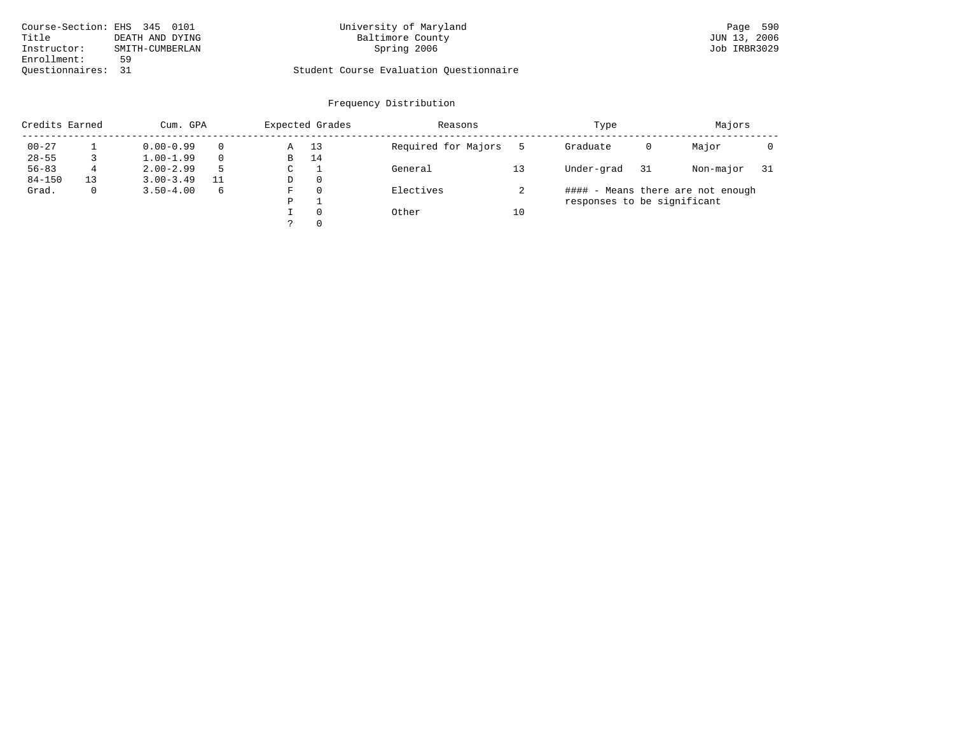| Course-Section: EHS 345 0101 |                 | University of Maryland                  | Page 590     |
|------------------------------|-----------------|-----------------------------------------|--------------|
| Title                        | DEATH AND DYING | Baltimore County                        | JUN 13, 2006 |
| Instructor:                  | SMITH-CUMBERLAN | Spring 2006                             | Job IRBR3029 |
| Enrollment:                  | 59              |                                         |              |
| Ouestionnaires:              | - 31            | Student Course Evaluation Ouestionnaire |              |

# Baltimore County JUN 13, 2006<br>
Spring 2006<br>
Job IRBR3029

| Credits Earned |              | Cum. GPA      |   |   | Expected Grades | Reasons             |    | Type                        |    | Majors                            |     |
|----------------|--------------|---------------|---|---|-----------------|---------------------|----|-----------------------------|----|-----------------------------------|-----|
| $00 - 27$      |              | $0.00 - 0.99$ |   | Α | 13              | Required for Majors |    | Graduate                    | 0  | Major                             |     |
| $28 - 55$      |              | $1.00 - 1.99$ |   | В | 14              |                     |    |                             |    |                                   |     |
| $56 - 83$      | 4            | $2.00 - 2.99$ |   | C |                 | General             |    | Under-grad                  | 31 | Non-major                         | -31 |
| $84 - 150$     | 13           | $3.00 - 3.49$ |   | D | $\Omega$        |                     |    |                             |    |                                   |     |
| Grad.          | $\mathbf{0}$ | $3.50 - 4.00$ | 6 | F | $\Omega$        | Electives           |    |                             |    | #### - Means there are not enough |     |
|                |              |               |   | P |                 |                     |    | responses to be significant |    |                                   |     |
|                |              |               |   |   | $\Omega$        | Other               | 10 |                             |    |                                   |     |
|                |              |               |   |   | $\Omega$        |                     |    |                             |    |                                   |     |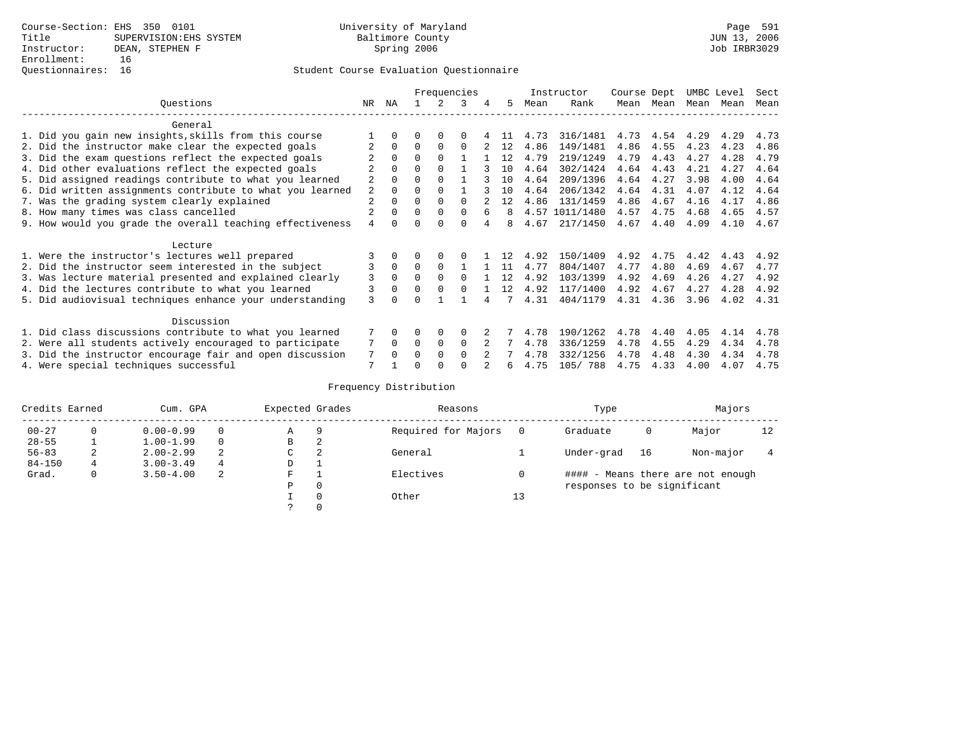# Questionnaires: 16 Student Course Evaluation Questionnaire

|                                                           |                |              |          |          | Frequencies  |   |    |      | Instructor     | Course Dept |      | UMBC Level |      | Sect |
|-----------------------------------------------------------|----------------|--------------|----------|----------|--------------|---|----|------|----------------|-------------|------|------------|------|------|
| Ouestions                                                 | NR.            | ΝA           |          |          | 3            | 4 | 5  | Mean | Rank           | Mean        | Mean | Mean       | Mean | Mean |
| General                                                   |                |              |          |          |              |   |    |      |                |             |      |            |      |      |
| 1. Did you gain new insights, skills from this course     |                | $\Omega$     | O        | $\Omega$ | 0            |   |    | 4.73 | 316/1481       | 4.73        | 4.54 | 4.29       | 4.29 | 4.73 |
| 2. Did the instructor make clear the expected goals       |                | $\Omega$     | $\Omega$ | $\Omega$ | $\Omega$     |   | 12 | 4.86 | 149/1481       | 4.86        | 4.55 | 4.23       | 4.23 | 4.86 |
| 3. Did the exam questions reflect the expected goals      |                | $\Omega$     | 0        | $\Omega$ |              |   | 12 | 4.79 | 219/1249       | 4.79        | 4.43 | 4.27       | 4.28 | 4.79 |
| 4. Did other evaluations reflect the expected goals       |                | $\Omega$     | 0        | $\Omega$ |              |   | 10 | 4.64 | 302/1424       | 4.64        | 4.43 | 4.21       | 4.27 | 4.64 |
| 5. Did assigned readings contribute to what you learned   | $\overline{2}$ |              |          |          |              |   | 10 | 4.64 | 209/1396       | 4.64        | 4.27 | 3.98       | 4.00 | 4.64 |
| 6. Did written assignments contribute to what you learned | 2              | $\Omega$     |          | $\Omega$ |              |   | 10 | 4.64 | 206/1342       | 4.64        | 4.31 | 4.07       | 4.12 | 4.64 |
| 7. Was the grading system clearly explained               | 2              | $\Omega$     |          | $\Omega$ | $\Omega$     |   | 12 | 4.86 | 131/1459       | 4.86        | 4.67 | 4.16       | 4.17 | 4.86 |
| 8. How many times was class cancelled                     | 2              | $\Omega$     | 0        | $\Omega$ | $\Omega$     | 6 | 8  |      | 4.57 1011/1480 | 4.57        | 4.75 | 4.68       | 4.65 | 4.57 |
| 9. How would you grade the overall teaching effectiveness | 4              | <sup>n</sup> |          | U        | U            |   | 8  | 4.67 | 217/1450       | 4.67        | 4.40 | 4.09       | 4.10 | 4.67 |
| Lecture                                                   |                |              |          |          |              |   |    |      |                |             |      |            |      |      |
| 1. Were the instructor's lectures well prepared           |                |              |          |          |              |   | 12 | 4.92 | 150/1409       | 4.92        | 4.75 | 4.42       | 4.43 | 4.92 |
| 2. Did the instructor seem interested in the subject      | 3              | $\Omega$     | $\Omega$ | $\Omega$ |              |   | 11 | 4.77 | 804/1407       | 4.77        | 4.80 | 4.69       | 4.67 | 4.77 |
| 3. Was lecture material presented and explained clearly   | 3              | $\Omega$     |          | $\Omega$ | <sup>0</sup> |   | 12 | 4.92 | 103/1399       | 4.92        | 4.69 | 4.26       | 4.27 | 4.92 |
| 4. Did the lectures contribute to what you learned        |                | $\Omega$     | $\Omega$ | $\Omega$ | <sup>0</sup> |   | 12 | 4.92 | 117/1400       | 4.92        | 4.67 | 4.27       | 4.28 | 4.92 |
| 5. Did audiovisual techniques enhance your understanding  | ζ              |              |          |          |              |   |    | 4.31 | 404/1179       | 4.31        | 4.36 | 3.96       | 4.02 | 4.31 |
| Discussion                                                |                |              |          |          |              |   |    |      |                |             |      |            |      |      |
| 1. Did class discussions contribute to what you learned   |                | $\Omega$     |          | $\Omega$ | $\Omega$     |   |    | 4.78 | 190/1262       | 4.78        | 4.40 | 4.05       | 4.14 | 4.78 |
| 2. Were all students actively encouraged to participate   |                | $\Omega$     | $\Omega$ | $\Omega$ | $\Omega$     |   |    | 4.78 | 336/1259       | 4.78        | 4.55 | 4.29       | 4.34 | 4.78 |
| 3. Did the instructor encourage fair and open discussion  |                | $\Omega$     | U        | $\Omega$ | <sup>0</sup> |   |    | 4.78 | 332/1256       | 4.78        | 4.48 | 4.30       | 4.34 | 4.78 |
| 4. Were special techniques successful                     | 7              |              |          |          |              |   | 6  | 4.75 | 105/ 788       | 4.75        | 4.33 | 4.00       | 4.07 | 4.75 |

| Credits Earned |             | Cum. GPA      |   | Expected Grades |          | Reasons             |          | Type                        |    | Majors                            |    |
|----------------|-------------|---------------|---|-----------------|----------|---------------------|----------|-----------------------------|----|-----------------------------------|----|
| $00 - 27$      | $\Omega$    | $0.00 - 0.99$ |   | Α               | 9        | Required for Majors | $\Omega$ | Graduate                    | 0  | Major                             | 12 |
| $28 - 55$      | ᅩ           | $1.00 - 1.99$ |   | В               | 2        |                     |          |                             |    |                                   |    |
| $56 - 83$      | 2           | $2.00 - 2.99$ | 2 | C               | 2        | General             |          | Under-grad                  | 16 | Non-major                         |    |
| $84 - 150$     | $4^{\circ}$ | $3.00 - 3.49$ | 4 | D               | <b>.</b> |                     |          |                             |    |                                   |    |
| Grad.          | 0           | $3.50 - 4.00$ | 2 | F               |          | Electives           | 0        |                             |    | #### - Means there are not enough |    |
|                |             |               |   | Ρ               | 0        |                     |          | responses to be significant |    |                                   |    |
|                |             |               |   |                 | $\Omega$ | Other               | 13       |                             |    |                                   |    |
|                |             |               |   |                 |          |                     |          |                             |    |                                   |    |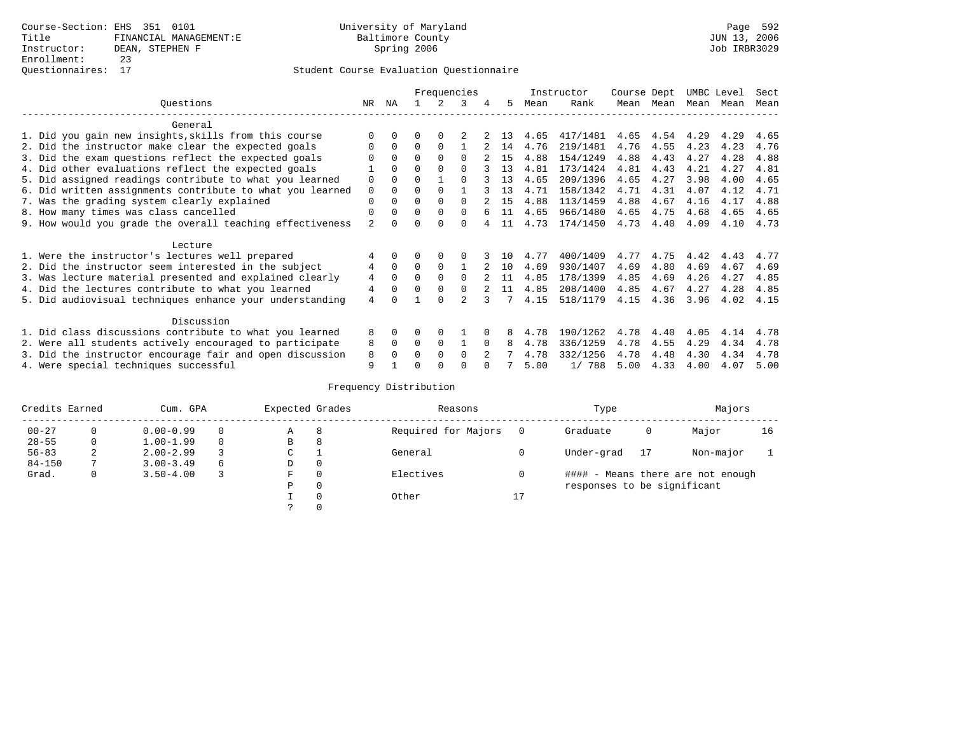|                                                           |                |          |              |              | Frequencies  |   |     |      | Instructor | Course Dept |      | UMBC Level |      | Sect |
|-----------------------------------------------------------|----------------|----------|--------------|--------------|--------------|---|-----|------|------------|-------------|------|------------|------|------|
| Ouestions                                                 | NR.            | ΝA       |              |              | 3            | 4 | 5   | Mean | Rank       | Mean        | Mean | Mean       | Mean | Mean |
| General                                                   |                |          |              |              |              |   |     |      |            |             |      |            |      |      |
| 1. Did you gain new insights, skills from this course     |                | 0        | U            | $\Omega$     |              |   | 13  | 4.65 | 417/1481   | 4.65        | 4.54 | 4.29       | 4.29 | 4.65 |
| 2. Did the instructor make clear the expected goals       |                | $\Omega$ | $\Omega$     | $\Omega$     |              |   | 14  | 4.76 | 219/1481   | 4.76        | 4.55 | 4.23       | 4.23 | 4.76 |
| 3. Did the exam questions reflect the expected goals      |                | $\Omega$ | $\Omega$     | $\Omega$     |              |   | 1.5 | 4.88 | 154/1249   | 4.88        | 4.43 | 4.27       | 4.28 | 4.88 |
| 4. Did other evaluations reflect the expected goals       |                | $\Omega$ | O            | $\Omega$     |              |   | 13  | 4.81 | 173/1424   | 4.81        | 4.43 | 4.21       | 4.27 | 4.81 |
| 5. Did assigned readings contribute to what you learned   | 0              | $\Omega$ | O            |              | <sup>n</sup> |   | 13  | 4.65 | 209/1396   | 4.65        | 4.27 | 3.98       | 4.00 | 4.65 |
| 6. Did written assignments contribute to what you learned | 0              | $\Omega$ | U            | <sup>0</sup> |              |   | 13  | 4.71 | 158/1342   | 4.71        | 4.31 | 4.07       | 4.12 | 4.71 |
| 7. Was the grading system clearly explained               | 0              |          | U            | $\Omega$     |              |   | 15  | 4.88 | 113/1459   | 4.88        | 4.67 | 4.16       | 4.17 | 4.88 |
| 8. How many times was class cancelled                     | 0              | $\Omega$ | <sup>0</sup> | $\Omega$     | $\Omega$     |   | 11  | 4.65 | 966/1480   | 4.65        | 4.75 | 4.68       | 4.65 | 4.65 |
| 9. How would you grade the overall teaching effectiveness | $\overline{a}$ |          |              | <sup>n</sup> | U            |   | 11  | 4.73 | 174/1450   | 4.73        | 4.40 | 4.09       | 4.10 | 4.73 |
| Lecture                                                   |                |          |              |              |              |   |     |      |            |             |      |            |      |      |
| 1. Were the instructor's lectures well prepared           |                |          |              |              |              |   | 1 O | 4.77 | 400/1409   | 4.77        | 4.75 | 4.42       | 4.43 | 4.77 |
| 2. Did the instructor seem interested in the subject      | 4              | $\Omega$ | 0            | $\Omega$     |              |   | 10  | 4.69 | 930/1407   | 4.69        | 4.80 | 4.69       | 4.67 | 4.69 |
| 3. Was lecture material presented and explained clearly   | 4              | $\Omega$ | U            | $\Omega$     | $\Omega$     |   | 11  | 4.85 | 178/1399   | 4.85        | 4.69 | 4.26       | 4.27 | 4.85 |
| 4. Did the lectures contribute to what you learned        | 4              | $\Omega$ | U            | $\Omega$     |              |   | 11  | 4.85 | 208/1400   | 4.85        | 4.67 | 4.27       | 4.28 | 4.85 |
| 5. Did audiovisual techniques enhance your understanding  | 4              |          |              | <sup>n</sup> |              |   |     | 4.15 | 518/1179   | 4.15        | 4.36 | 3.96       | 4.02 | 4.15 |
| Discussion                                                |                |          |              |              |              |   |     |      |            |             |      |            |      |      |
| 1. Did class discussions contribute to what you learned   | 8              | 0        | U            | <sup>0</sup> |              |   |     | 4.78 | 190/1262   | 4.78        | 4.40 | 4.05       | 4.14 | 4.78 |
| 2. Were all students actively encouraged to participate   | 8              | $\Omega$ | 0            | $\Omega$     |              |   | 8   | 4.78 | 336/1259   | 4.78        | 4.55 | 4.29       | 4.34 | 4.78 |
| 3. Did the instructor encourage fair and open discussion  | 8              |          |              | $\Omega$     | $\Omega$     |   |     | 4.78 | 332/1256   | 4.78        | 4.48 | 4.30       | 4.34 | 4.78 |
| 4. Were special techniques successful                     | 9              |          |              |              |              |   |     | 5.00 | 1/788      | 5.00        | 4.33 | 4.00       | 4.07 | 5.00 |

| Credits Earned |          | Cum. GPA      |          | Expected Grades |          | Reasons             |          | Type                        |    | Majors                            |    |
|----------------|----------|---------------|----------|-----------------|----------|---------------------|----------|-----------------------------|----|-----------------------------------|----|
| $00 - 27$      | $\Omega$ | $0.00 - 0.99$ |          | А               | 8        | Required for Majors | $\Omega$ | Graduate                    | 0  | Major                             | 16 |
| $28 - 55$      | 0        | $1.00 - 1.99$ |          | В               | 8        |                     |          |                             |    |                                   |    |
| $56 - 83$      | 2        | $2.00 - 2.99$ |          | $\sim$<br>◡     |          | General             |          | Under-grad                  | 17 | Non-major                         |    |
| $84 - 150$     |          | $3.00 - 3.49$ | $\sigma$ | D               | 0        |                     |          |                             |    |                                   |    |
| Grad.          | 0        | $3.50 - 4.00$ |          | F               | 0        | Electives           | 0        |                             |    | #### - Means there are not enough |    |
|                |          |               |          | Ρ               | 0        |                     |          | responses to be significant |    |                                   |    |
|                |          |               |          |                 | $\Omega$ | Other               | 17       |                             |    |                                   |    |
|                |          |               |          |                 |          |                     |          |                             |    |                                   |    |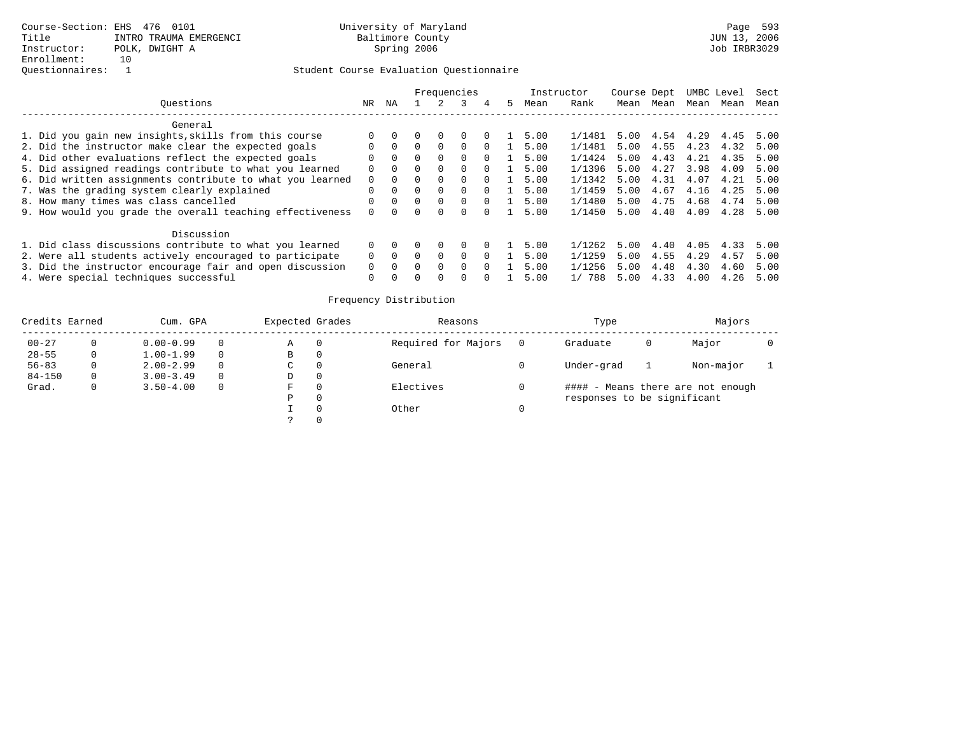|                                                           |          |          |              |              |              |              |    | Instructor |           | Course Dept |      |      | UMBC Level | Sect |
|-----------------------------------------------------------|----------|----------|--------------|--------------|--------------|--------------|----|------------|-----------|-------------|------|------|------------|------|
| Ouestions                                                 | NR       | ΝA       |              |              |              |              | 5. | Mean       | Rank      | Mean        | Mean | Mean | Mean       | Mean |
| General                                                   |          |          |              |              |              |              |    |            |           |             |      |      |            |      |
| 1. Did you gain new insights, skills from this course     |          |          |              |              |              |              |    | 5.00       | 1/1481    | 5.00        | 4.54 | 4.29 | 4.45       | 5.00 |
| 2. Did the instructor make clear the expected goals       |          | $\Omega$ |              | $\Omega$     | $\Omega$     |              |    | 5.00       | 1/1481    | 5.00        | 4.55 | 4.23 | 4.32       | 5.00 |
| 4. Did other evaluations reflect the expected goals       |          | $\Omega$ |              |              | $\Omega$     | <sup>0</sup> |    | 5.00       | 1/1424    | 5.00        | 4.43 | 4.21 | 4.35       | 5.00 |
| 5. Did assigned readings contribute to what you learned   |          | $\Omega$ |              | $\Omega$     | $\Omega$     |              |    | 5.00       | 1/1396    | 5.00        | 4.27 | 3.98 | 4.09       | 5.00 |
| 6. Did written assignments contribute to what you learned | $\Omega$ | $\Omega$ |              | $\Omega$     | $\Omega$     | $\cap$       |    | 5.00       | 1/1342    | 5.00        | 4.31 | 4.07 | 4.21       | 5.00 |
| 7. Was the grading system clearly explained               | $\Omega$ | $\Omega$ | $\cap$       | $\Omega$     | $\Omega$     | $\Omega$     |    | 5.00       | 1/1459    | 5.00        | 4.67 | 4.16 | 4.25       | 5.00 |
| 8. How many times was class cancelled                     |          | $\Omega$ | $\Omega$     | $\Omega$     | $\Omega$     | $\Omega$     |    | 5.00       | 1/1480    | 5.00        | 4.75 | 4.68 | 4.74       | 5.00 |
| 9. How would you grade the overall teaching effectiveness |          | $\cap$   | <sup>n</sup> | $\cap$       | $\cap$       |              |    | 5.00       | 1/1450    | 5.00        | 4.40 | 4.09 | 4.28       | 5.00 |
| Discussion                                                |          |          |              |              |              |              |    |            |           |             |      |      |            |      |
| 1. Did class discussions contribute to what you learned   |          |          |              |              | <sup>0</sup> |              |    | 5.00       | 1/1262    | 5.00        | 4.40 | 4.05 | 4.33       | 5.00 |
| 2. Were all students actively encouraged to participate   |          | $\Omega$ |              | $\Omega$     | $\Omega$     |              |    | 5.00       | 1/1259    | 5.00        | 4.55 | 4.29 | 4.57       | 5.00 |
| 3. Did the instructor encourage fair and open discussion  | $\Omega$ | $\Omega$ |              |              | $\Omega$     |              |    | 5.00       | 1/1256    | 5.00        | 4.48 | 4.30 | 4.60       | 5.00 |
| 4. Were special techniques successful                     | $\Omega$ | $\Omega$ | O.           | <sup>0</sup> | 0            |              |    | 5.00       | 788<br>1/ | 5.00        | 4.33 | 4.00 | 4.26       | 5.00 |

| Credits Earned |   | Cum. GPA      |          | Expected Grades |          | Reasons             |     | Type                        |   | Majors                            |  |
|----------------|---|---------------|----------|-----------------|----------|---------------------|-----|-----------------------------|---|-----------------------------------|--|
| $00 - 27$      |   | $0.00 - 0.99$ | $\Omega$ | Α               | $\Omega$ | Required for Majors | - 0 | Graduate                    | 0 | Major                             |  |
| $28 - 55$      | 0 | $1.00 - 1.99$ | $\Omega$ | В               | 0        |                     |     |                             |   |                                   |  |
| $56 - 83$      | 0 | $2.00 - 2.99$ | $\Omega$ | C               | 0        | General             |     | Under-grad                  |   | Non-major                         |  |
| $84 - 150$     | 0 | $3.00 - 3.49$ | $\Omega$ | D               | 0        |                     |     |                             |   |                                   |  |
| Grad.          | 0 | $3.50 - 4.00$ | $\Omega$ | F.              | $\Omega$ | Electives           |     |                             |   | #### - Means there are not enough |  |
|                |   |               |          | Ρ               | $\Omega$ |                     |     | responses to be significant |   |                                   |  |
|                |   |               |          |                 |          | Other               |     |                             |   |                                   |  |
|                |   |               |          |                 |          |                     |     |                             |   |                                   |  |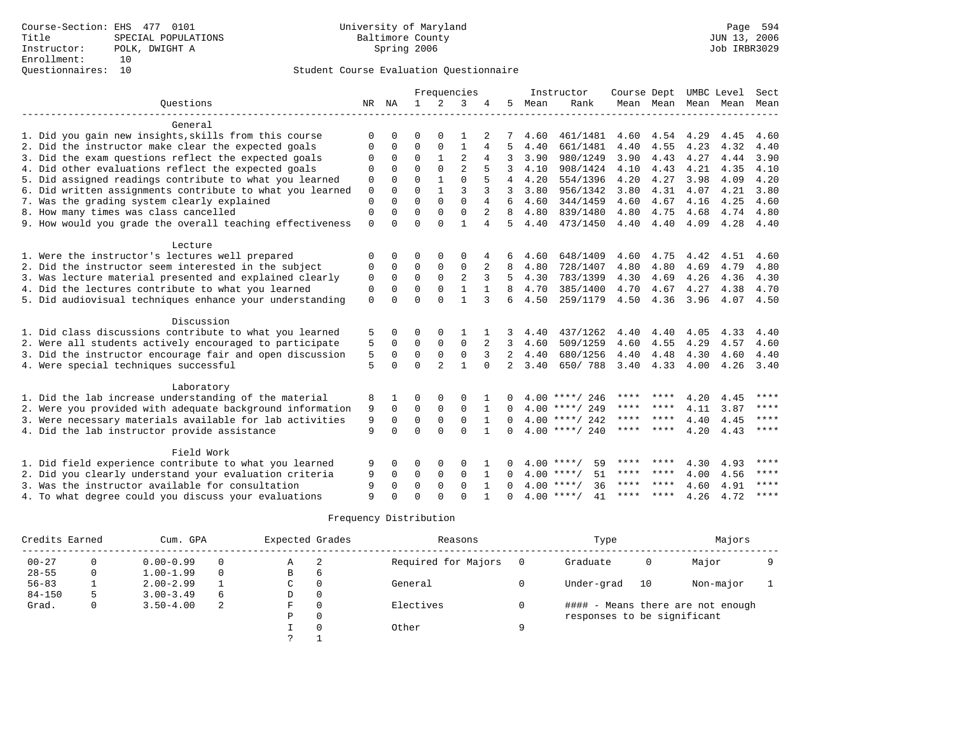# Questionnaires: 10 Student Course Evaluation Questionnaire

|                                                           |             |              |             |                | Frequencies    |              |                |      | Instructor         | Course Dept |      |                     | UMBC Level | Sect        |
|-----------------------------------------------------------|-------------|--------------|-------------|----------------|----------------|--------------|----------------|------|--------------------|-------------|------|---------------------|------------|-------------|
| Ouestions                                                 |             | NR NA        | 1           |                | 3              |              | 5              | Mean | Rank               |             |      | Mean Mean Mean Mean |            | Mean        |
|                                                           |             |              |             |                |                |              |                |      |                    |             |      |                     |            |             |
| General                                                   |             |              |             |                |                |              |                |      |                    |             |      |                     |            |             |
| 1. Did you gain new insights, skills from this course     | $\Omega$    | <sup>0</sup> | 0           | ∩              |                |              |                | 4.60 | 461/1481           | 4.60        | 4.54 | 4.29                | 4.45       | 4.60        |
| 2. Did the instructor make clear the expected goals       | $\Omega$    | $\Omega$     | $\Omega$    | $\Omega$       | $\mathbf{1}$   | 4            | 5              | 4.40 | 661/1481           | 4.40        | 4.55 | 4.23                | 4.32       | 4.40        |
| 3. Did the exam questions reflect the expected goals      | $\Omega$    | 0            | $\Omega$    |                | $\overline{2}$ | 4            | 3              | 3.90 | 980/1249           | 3.90        | 4.43 | 4.27                | 4.44       | 3.90        |
| 4. Did other evaluations reflect the expected goals       | $\Omega$    | $\Omega$     | $\Omega$    | $\Omega$       | $\overline{2}$ | 5            | ζ              | 4.10 | 908/1424           | 4.10        | 4.43 | 4.21                | 4.35       | 4.10        |
| 5. Did assigned readings contribute to what you learned   | 0           | $\Omega$     | $\Omega$    | 1              | $\Omega$       | 5            | 4              | 4.20 | 554/1396           | 4.20        | 4.27 | 3.98                | 4.09       | 4.20        |
| 6. Did written assignments contribute to what you learned | $\mathbf 0$ | $\Omega$     | $\Omega$    | 1              | 3              |              | 3              | 3.80 | 956/1342           | 3.80        | 4.31 | 4.07                | 4.21       | 3.80        |
| 7. Was the grading system clearly explained               | $\Omega$    | $\Omega$     | $\Omega$    | $\Omega$       | $\Omega$       | 4            | 6              | 4.60 | 344/1459           | 4.60        | 4.67 | 4.16                | 4.25       | 4.60        |
| 8. How many times was class cancelled                     | $\Omega$    | $\Omega$     | $\Omega$    | $\Omega$       | $\Omega$       | 2            | 8              | 4.80 | 839/1480           | 4.80        | 4.75 | 4.68                | 4.74       | 4.80        |
| 9. How would you grade the overall teaching effectiveness | $\mathbf 0$ | $\Omega$     | $\Omega$    | $\Omega$       | 1              | 4            | 5              | 4.40 | 473/1450           | 4.40        | 4.40 | 4.09                | 4.28       | 4.40        |
|                                                           |             |              |             |                |                |              |                |      |                    |             |      |                     |            |             |
| Lecture                                                   |             |              |             |                |                |              |                |      |                    |             |      |                     |            |             |
| 1. Were the instructor's lectures well prepared           | $\Omega$    | 0            | U           | $\Omega$       | $\Omega$       |              | 6              | 4.60 | 648/1409           | 4.60        | 4.75 | 4.42                | 4.51       | 4.60        |
| 2. Did the instructor seem interested in the subject      | $\Omega$    | $\Omega$     | $\Omega$    | $\Omega$       | $\Omega$       | 2            | 8              | 4.80 | 728/1407           | 4.80        | 4.80 | 4.69                | 4.79       | 4.80        |
| 3. Was lecture material presented and explained clearly   | 0           | $\Omega$     | $\Omega$    | $\Omega$       | $\overline{2}$ | 3            | 5              | 4.30 | 783/1399           | 4.30        | 4.69 | 4.26                | 4.36       | 4.30        |
| 4. Did the lectures contribute to what you learned        | $\Omega$    | $\Omega$     | $\Omega$    | $\Omega$       | $\mathbf{1}$   | $\mathbf{1}$ | 8              | 4.70 | 385/1400           | 4.70        | 4.67 | 4.27                | 4.38       | 4.70        |
| 5. Did audiovisual techniques enhance your understanding  | $\mathbf 0$ | $\Omega$     | $\Omega$    | $\Omega$       | $\mathbf{1}$   | 3            | 6              | 4.50 | 259/1179           | 4.50        | 4.36 | 3.96                | 4.07       | 4.50        |
|                                                           |             |              |             |                |                |              |                |      |                    |             |      |                     |            |             |
| Discussion                                                |             |              |             |                |                |              |                |      |                    |             |      |                     |            |             |
| 1. Did class discussions contribute to what you learned   | 5           | 0            | 0           | $\Omega$       |                |              | 3              | 4.40 | 437/1262           | 4.40        | 4.40 | 4.05                | 4.33       | 4.40        |
| 2. Were all students actively encouraged to participate   | 5           | $\Omega$     | 0           | 0              | $\mathbf 0$    | 2            | 3              | 4.60 | 509/1259           | 4.60        | 4.55 | 4.29                | 4.57       | 4.60        |
| 3. Did the instructor encourage fair and open discussion  | 5           | 0            | 0           | $\mathbf 0$    | $\mathbf 0$    | 3            | 2              | 4.40 | 680/1256           | 4.40        | 4.48 | 4.30                | 4.60       | 4.40        |
| 4. Were special techniques successful                     | 5           | $\Omega$     | $\Omega$    | $\overline{a}$ | $\mathbf{1}$   | $\Omega$     | $\overline{2}$ | 3.40 | 650/788            | 3.40        | 4.33 | 4.00                | 4.26       | 3.40        |
|                                                           |             |              |             |                |                |              |                |      |                    |             |      |                     |            |             |
| Laboratory                                                |             |              |             |                |                |              |                |      |                    |             |      |                     |            |             |
| 1. Did the lab increase understanding of the material     | 8           |              | 0           | 0              | $\Omega$       |              | 0              |      | $4.00$ ****/ 246   | ****        | **** | 4.20                | 4.45       | ****        |
| 2. Were you provided with adequate background information | 9           | $\Omega$     | $\mathbf 0$ | $\mathbf 0$    | 0              |              | 0              |      | $4.00$ ****/ 249   | ****        | **** | 4.11                | 3.87       | $***$       |
| 3. Were necessary materials available for lab activities  | 9           | 0            | $\mathbf 0$ | $\mathsf 0$    | $\mathsf 0$    |              | 0              |      | $4.00$ ****/ 242   | ****        | **** | 4.40                | 4.45       | $***$ * * * |
| 4. Did the lab instructor provide assistance              | 9           | $\Omega$     | $\Omega$    | $\Omega$       | $\Omega$       |              | $\Omega$       |      | $4.00$ ****/ 240   | ****        | **** | 4.20                | 4.43       | ****        |
|                                                           |             |              |             |                |                |              |                |      |                    |             |      |                     |            |             |
| Field Work                                                |             |              |             |                |                |              |                |      |                    |             |      |                     |            |             |
| 1. Did field experience contribute to what you learned    | 9           | O            | 0           | $\Omega$       | $\Omega$       |              |                | 400  | ****/<br>59        | ****        | **** | 4.30                | 4.93       | ****        |
| 2. Did you clearly understand your evaluation criteria    | 9           | 0            | $\mathbf 0$ | $\Omega$       | $\Omega$       |              | 0              |      | 51<br>$4.00$ ****/ | ****        | **** | 4.00                | 4.56       | ****        |
| 3. Was the instructor available for consultation          | 9           | 0            | $\Omega$    | $\Omega$       | $\Omega$       | $\mathbf{1}$ | $\Omega$       |      | $4.00$ ****/<br>36 | ****        | **** | 4.60                | 4.91       | ****        |
| 4. To what degree could you discuss your evaluations      | 9           |              | $\Omega$    | $\cap$         | $\cap$         |              | $\Omega$       |      | $4.00***$<br>41    | ****        | **** | 4.26                | 4.72       | $***$ * * * |

| Credits Earned |   | Cum. GPA      |   | Expected Grades |          | Reasons             |  | Type                        |    | Majors                            |  |
|----------------|---|---------------|---|-----------------|----------|---------------------|--|-----------------------------|----|-----------------------------------|--|
| $00 - 27$      |   | $0.00 - 0.99$ | 0 | Α               | - 2      | Required for Majors |  | Graduate                    | 0  | Major                             |  |
| $28 - 55$      |   | $1.00 - 1.99$ | 0 | B               | b        |                     |  |                             |    |                                   |  |
| $56 - 83$      |   | $2.00 - 2.99$ |   | C.              |          | General             |  | Under-grad                  | 10 | Non-major                         |  |
| $84 - 150$     | 5 | $3.00 - 3.49$ | 6 | D               | 0        |                     |  |                             |    |                                   |  |
| Grad.          |   | $3.50 - 4.00$ | 2 | F               |          | Electives           |  |                             |    | #### - Means there are not enough |  |
|                |   |               |   | Ρ               | $\Omega$ |                     |  | responses to be significant |    |                                   |  |
|                |   |               |   |                 | Other    | Q                   |  |                             |    |                                   |  |
|                |   |               |   |                 |          |                     |  |                             |    |                                   |  |